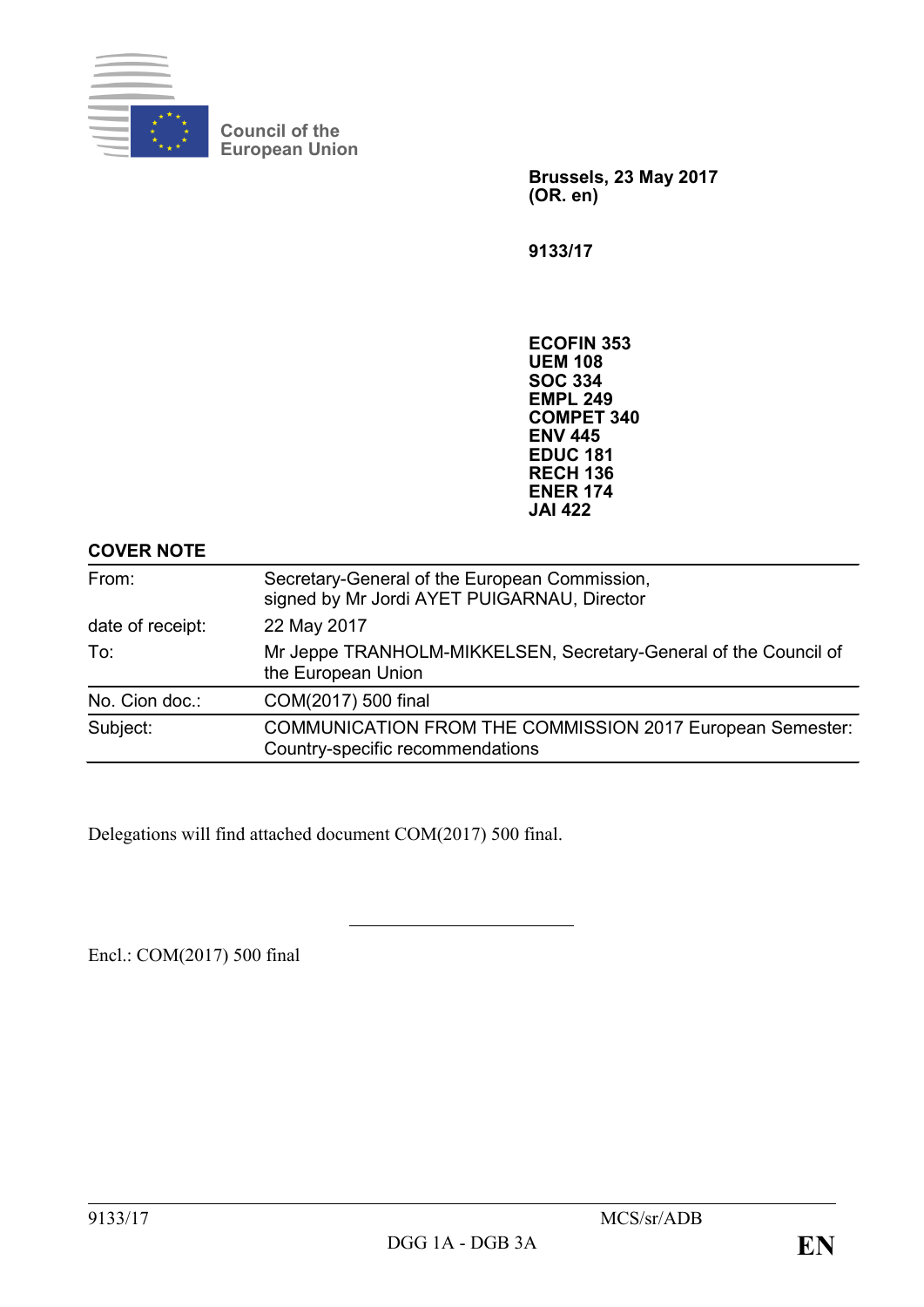

**Council of the European Union**

> **Brussels, 23 May 2017 (OR. en)**

**9133/17**

**ECOFIN 353 UEM 108 SOC 334 EMPL 249 COMPET 340 ENV 445 EDUC 181 RECH 136 ENER 174 JAI 422**

# **COVER NOTE**

| From:                                                                                         | Secretary-General of the European Commission,<br>signed by Mr Jordi AYET PUIGARNAU, Director         |  |  |  |  |  |
|-----------------------------------------------------------------------------------------------|------------------------------------------------------------------------------------------------------|--|--|--|--|--|
| date of receipt:                                                                              | 22 May 2017                                                                                          |  |  |  |  |  |
| Mr Jeppe TRANHOLM-MIKKELSEN, Secretary-General of the Council of<br>To:<br>the European Union |                                                                                                      |  |  |  |  |  |
| No. Cion doc.:                                                                                | COM(2017) 500 final                                                                                  |  |  |  |  |  |
| Subject:                                                                                      | <b>COMMUNICATION FROM THE COMMISSION 2017 European Semester:</b><br>Country-specific recommendations |  |  |  |  |  |

Delegations will find attached document COM(2017) 500 final.

Encl.: COM(2017) 500 final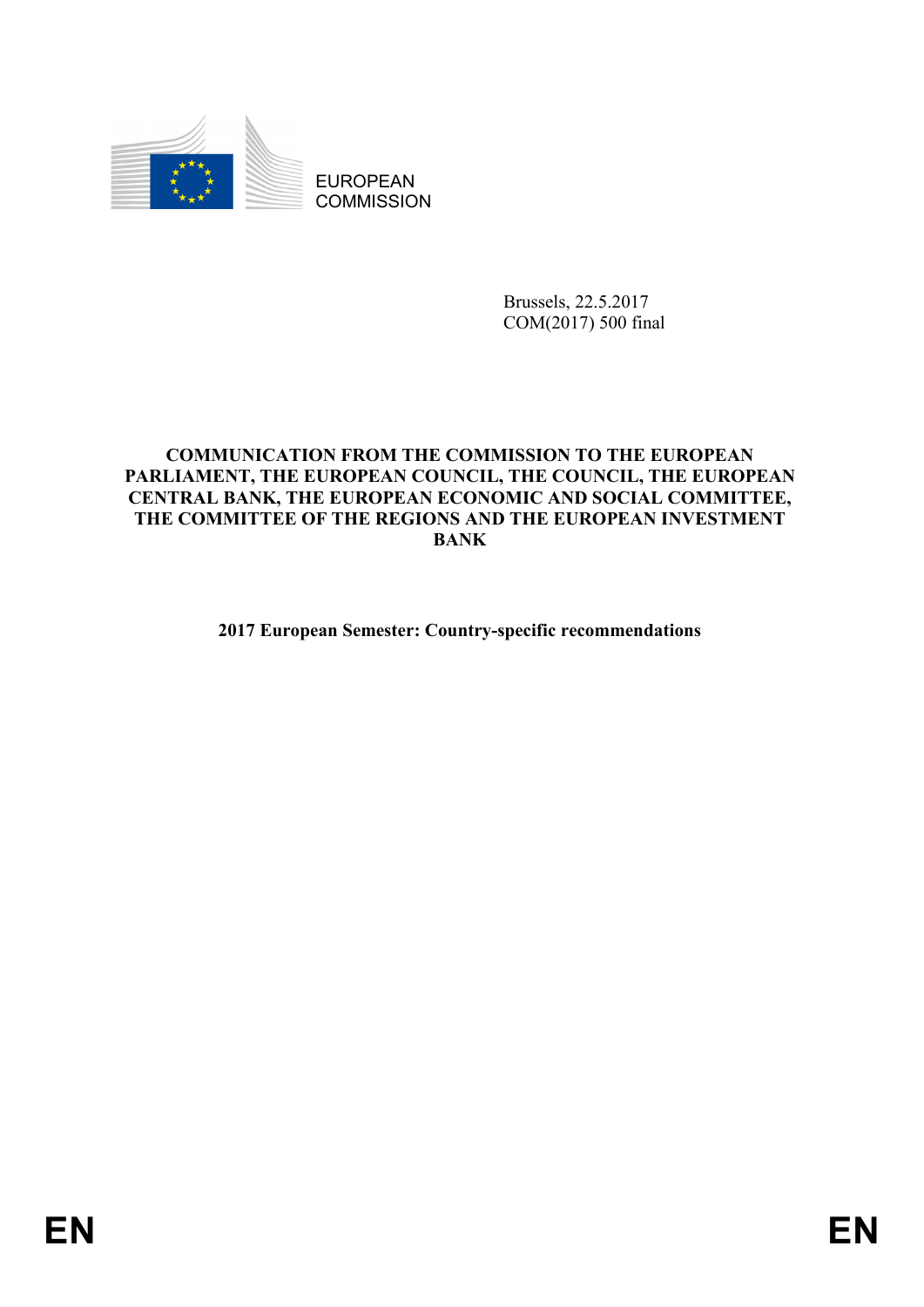

EUROPEAN **COMMISSION** 

> Brussels, 22.5.2017 COM(2017) 500 final

## **COMMUNICATION FROM THE COMMISSION TO THE EUROPEAN PARLIAMENT, THE EUROPEAN COUNCIL, THE COUNCIL, THE EUROPEAN CENTRAL BANK, THE EUROPEAN ECONOMIC AND SOCIAL COMMITTEE, THE COMMITTEE OF THE REGIONS AND THE EUROPEAN INVESTMENT BANK**

**2017 European Semester: Country-specific recommendations**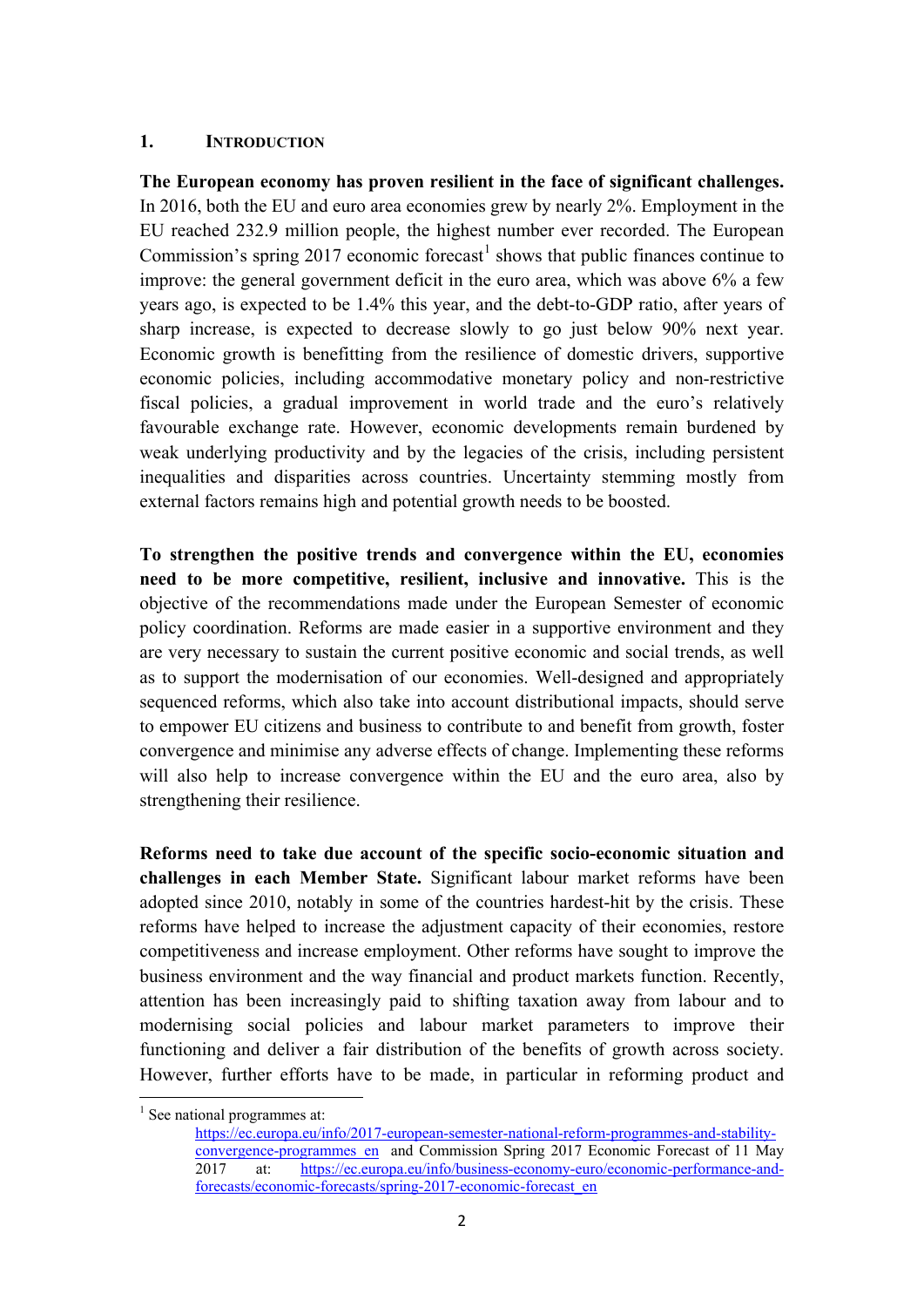## **1. INTRODUCTION**

**The European economy has proven resilient in the face of significant challenges.** In 2016, both the EU and euro area economies grew by nearly 2%. Employment in the EU reached 232.9 million people, the highest number ever recorded. The European Commission's spring 20[1](#page-2-0)7 economic forecast<sup>1</sup> shows that public finances continue to improve: the general government deficit in the euro area, which was above 6% a few years ago, is expected to be 1.4% this year, and the debt-to-GDP ratio, after years of sharp increase, is expected to decrease slowly to go just below 90% next year. Economic growth is benefitting from the resilience of domestic drivers, supportive economic policies, including accommodative monetary policy and non-restrictive fiscal policies, a gradual improvement in world trade and the euro's relatively favourable exchange rate. However, economic developments remain burdened by weak underlying productivity and by the legacies of the crisis, including persistent inequalities and disparities across countries. Uncertainty stemming mostly from external factors remains high and potential growth needs to be boosted.

**To strengthen the positive trends and convergence within the EU, economies need to be more competitive, resilient, inclusive and innovative.** This is the objective of the recommendations made under the European Semester of economic policy coordination. Reforms are made easier in a supportive environment and they are very necessary to sustain the current positive economic and social trends, as well as to support the modernisation of our economies. Well-designed and appropriately sequenced reforms, which also take into account distributional impacts, should serve to empower EU citizens and business to contribute to and benefit from growth, foster convergence and minimise any adverse effects of change. Implementing these reforms will also help to increase convergence within the EU and the euro area, also by strengthening their resilience.

**Reforms need to take due account of the specific socio-economic situation and challenges in each Member State.** Significant labour market reforms have been adopted since 2010, notably in some of the countries hardest-hit by the crisis. These reforms have helped to increase the adjustment capacity of their economies, restore competitiveness and increase employment. Other reforms have sought to improve the business environment and the way financial and product markets function. Recently, attention has been increasingly paid to shifting taxation away from labour and to modernising social policies and labour market parameters to improve their functioning and deliver a fair distribution of the benefits of growth across society. However, further efforts have to be made, in particular in reforming product and

**.** 

<span id="page-2-0"></span> $<sup>1</sup>$  See national programmes at:</sup>

[https://ec.europa.eu/info/2017-european-semester-national-reform-programmes-and-stability](https://ec.europa.eu/info/2017-european-semester-national-reform-programmes-and-stability-convergence-programmes_en)convergence-programmes en and Commission Spring 2017 Economic Forecast of 11 May 2017 at: [https://ec.europa.eu/info/business-economy-euro/economic-performance-and](https://ec.europa.eu/info/business-economy-euro/economic-performance-and-forecasts/economic-forecasts/spring-2017-economic-forecast_en)[forecasts/economic-forecasts/spring-2017-economic-forecast\\_en](https://ec.europa.eu/info/business-economy-euro/economic-performance-and-forecasts/economic-forecasts/spring-2017-economic-forecast_en)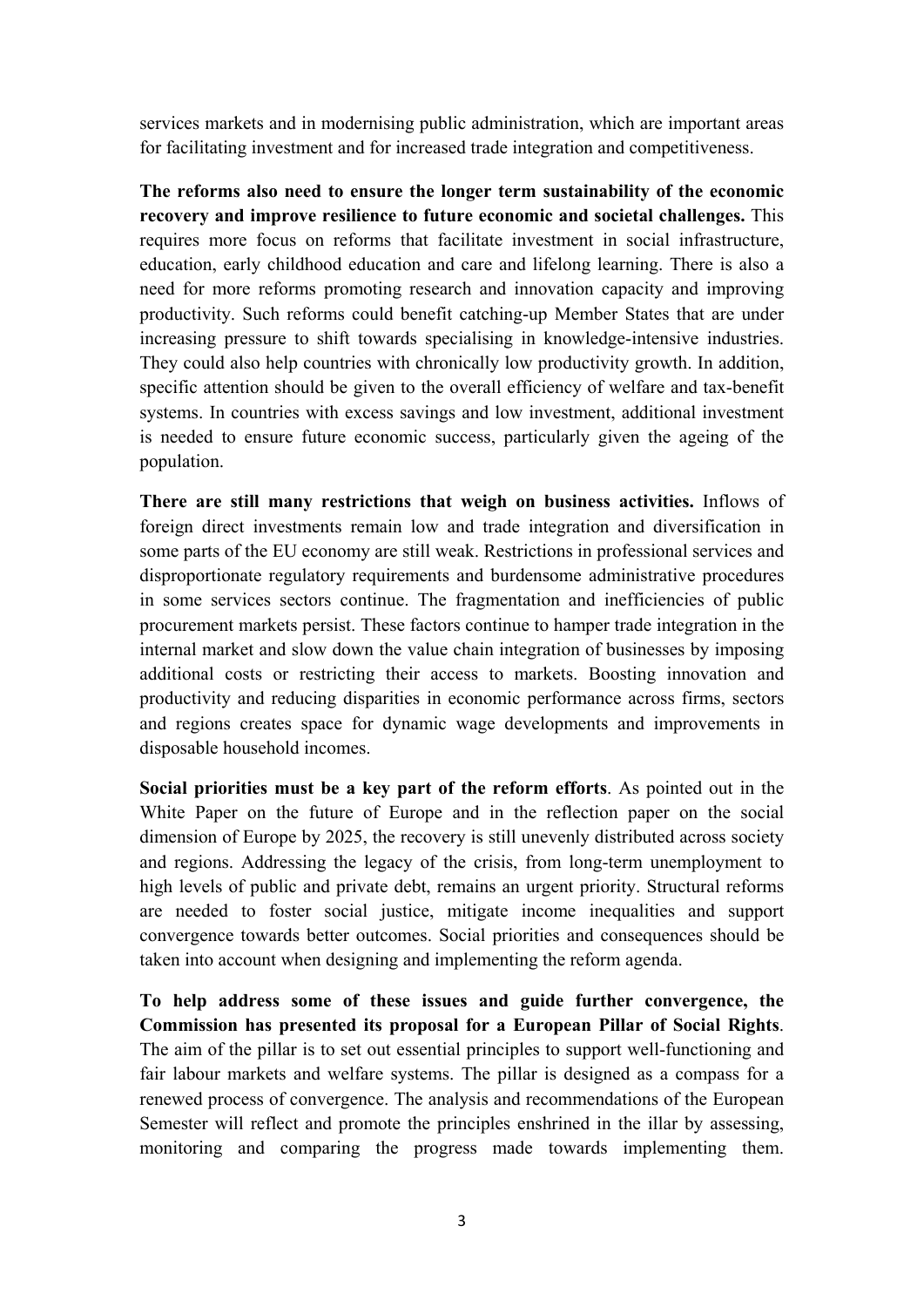services markets and in modernising public administration, which are important areas for facilitating investment and for increased trade integration and competitiveness.

**The reforms also need to ensure the longer term sustainability of the economic recovery and improve resilience to future economic and societal challenges.** This requires more focus on reforms that facilitate investment in social infrastructure, education, early childhood education and care and lifelong learning. There is also a need for more reforms promoting research and innovation capacity and improving productivity. Such reforms could benefit catching-up Member States that are under increasing pressure to shift towards specialising in knowledge-intensive industries. They could also help countries with chronically low productivity growth. In addition, specific attention should be given to the overall efficiency of welfare and tax-benefit systems. In countries with excess savings and low investment, additional investment is needed to ensure future economic success, particularly given the ageing of the population.

**There are still many restrictions that weigh on business activities.** Inflows of foreign direct investments remain low and trade integration and diversification in some parts of the EU economy are still weak. Restrictions in professional services and disproportionate regulatory requirements and burdensome administrative procedures in some services sectors continue. The fragmentation and inefficiencies of public procurement markets persist. These factors continue to hamper trade integration in the internal market and slow down the value chain integration of businesses by imposing additional costs or restricting their access to markets. Boosting innovation and productivity and reducing disparities in economic performance across firms, sectors and regions creates space for dynamic wage developments and improvements in disposable household incomes.

**Social priorities must be a key part of the reform efforts**. As pointed out in the White Paper on the future of Europe and in the reflection paper on the social dimension of Europe by 2025, the recovery is still unevenly distributed across society and regions. Addressing the legacy of the crisis, from long-term unemployment to high levels of public and private debt, remains an urgent priority. Structural reforms are needed to foster social justice, mitigate income inequalities and support convergence towards better outcomes. Social priorities and consequences should be taken into account when designing and implementing the reform agenda.

**To help address some of these issues and guide further convergence, the Commission has presented its proposal for a European Pillar of Social Rights**. The aim of the pillar is to set out essential principles to support well-functioning and fair labour markets and welfare systems. The pillar is designed as a compass for a renewed process of convergence. The analysis and recommendations of the European Semester will reflect and promote the principles enshrined in the illar by assessing, monitoring and comparing the progress made towards implementing them.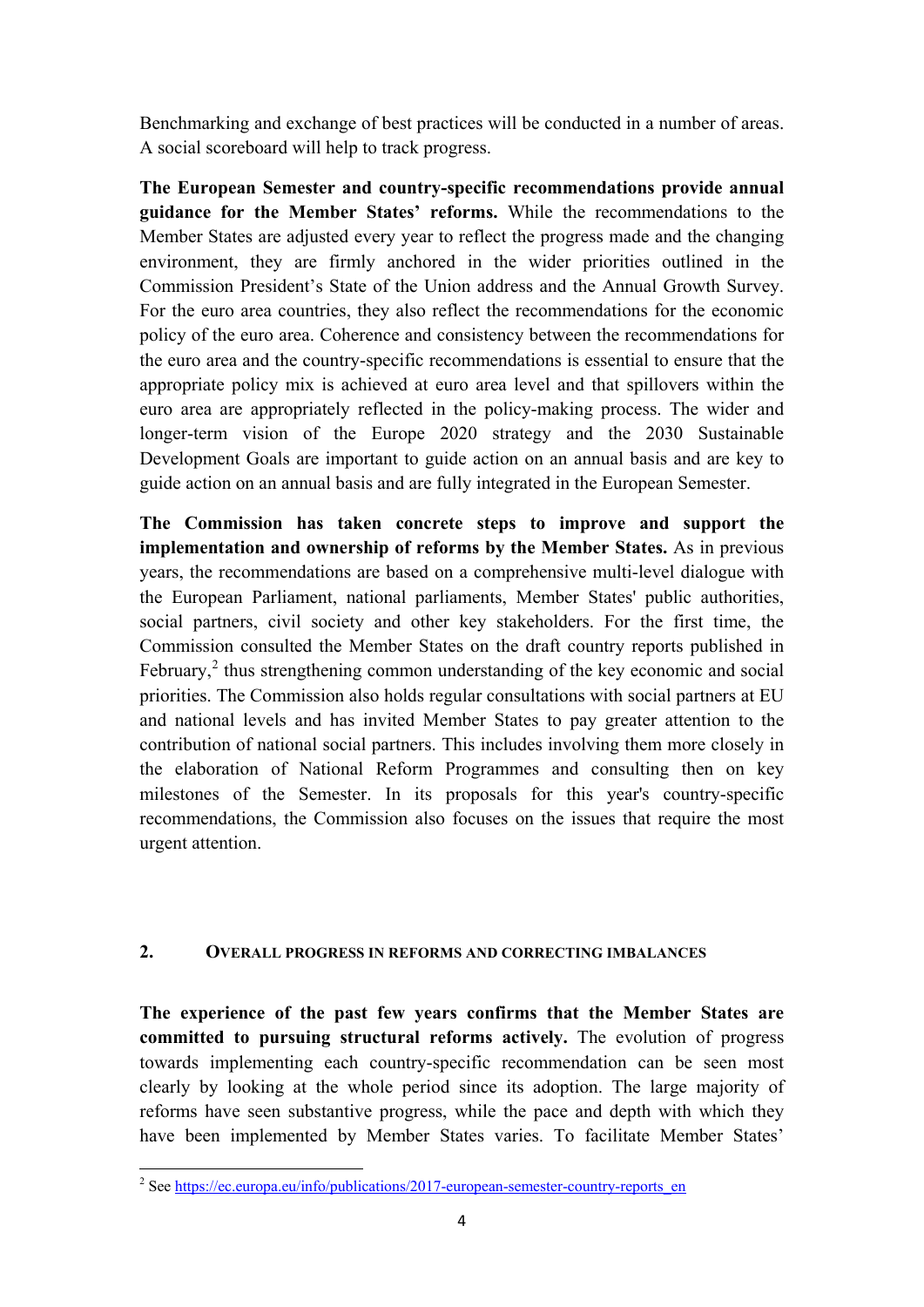Benchmarking and exchange of best practices will be conducted in a number of areas. A social scoreboard will help to track progress.

**The European Semester and country-specific recommendations provide annual guidance for the Member States' reforms.** While the recommendations to the Member States are adjusted every year to reflect the progress made and the changing environment, they are firmly anchored in the wider priorities outlined in the Commission President's State of the Union address and the Annual Growth Survey. For the euro area countries, they also reflect the recommendations for the economic policy of the euro area. Coherence and consistency between the recommendations for the euro area and the country-specific recommendations is essential to ensure that the appropriate policy mix is achieved at euro area level and that spillovers within the euro area are appropriately reflected in the policy-making process. The wider and longer-term vision of the Europe 2020 strategy and the 2030 Sustainable Development Goals are important to guide action on an annual basis and are key to guide action on an annual basis and are fully integrated in the European Semester.

**The Commission has taken concrete steps to improve and support the implementation and ownership of reforms by the Member States.** As in previous years, the recommendations are based on a comprehensive multi-level dialogue with the European Parliament, national parliaments, Member States' public authorities, social partners, civil society and other key stakeholders. For the first time, the Commission consulted the Member States on the draft country reports published in February,<sup>[2](#page-4-0)</sup> thus strengthening common understanding of the key economic and social priorities. The Commission also holds regular consultations with social partners at EU and national levels and has invited Member States to pay greater attention to the contribution of national social partners. This includes involving them more closely in the elaboration of National Reform Programmes and consulting then on key milestones of the Semester. In its proposals for this year's country-specific recommendations, the Commission also focuses on the issues that require the most urgent attention.

## **2. OVERALL PROGRESS IN REFORMS AND CORRECTING IMBALANCES**

**The experience of the past few years confirms that the Member States are committed to pursuing structural reforms actively.** The evolution of progress towards implementing each country-specific recommendation can be seen most clearly by looking at the whole period since its adoption. The large majority of reforms have seen substantive progress, while the pace and depth with which they have been implemented by Member States varies. To facilitate Member States'

 $\overline{a}$ 

<span id="page-4-0"></span><sup>&</sup>lt;sup>2</sup> Se[e https://ec.europa.eu/info/publications/2017-european-semester-country-reports\\_en](https://ec.europa.eu/info/publications/2017-european-semester-country-reports_en)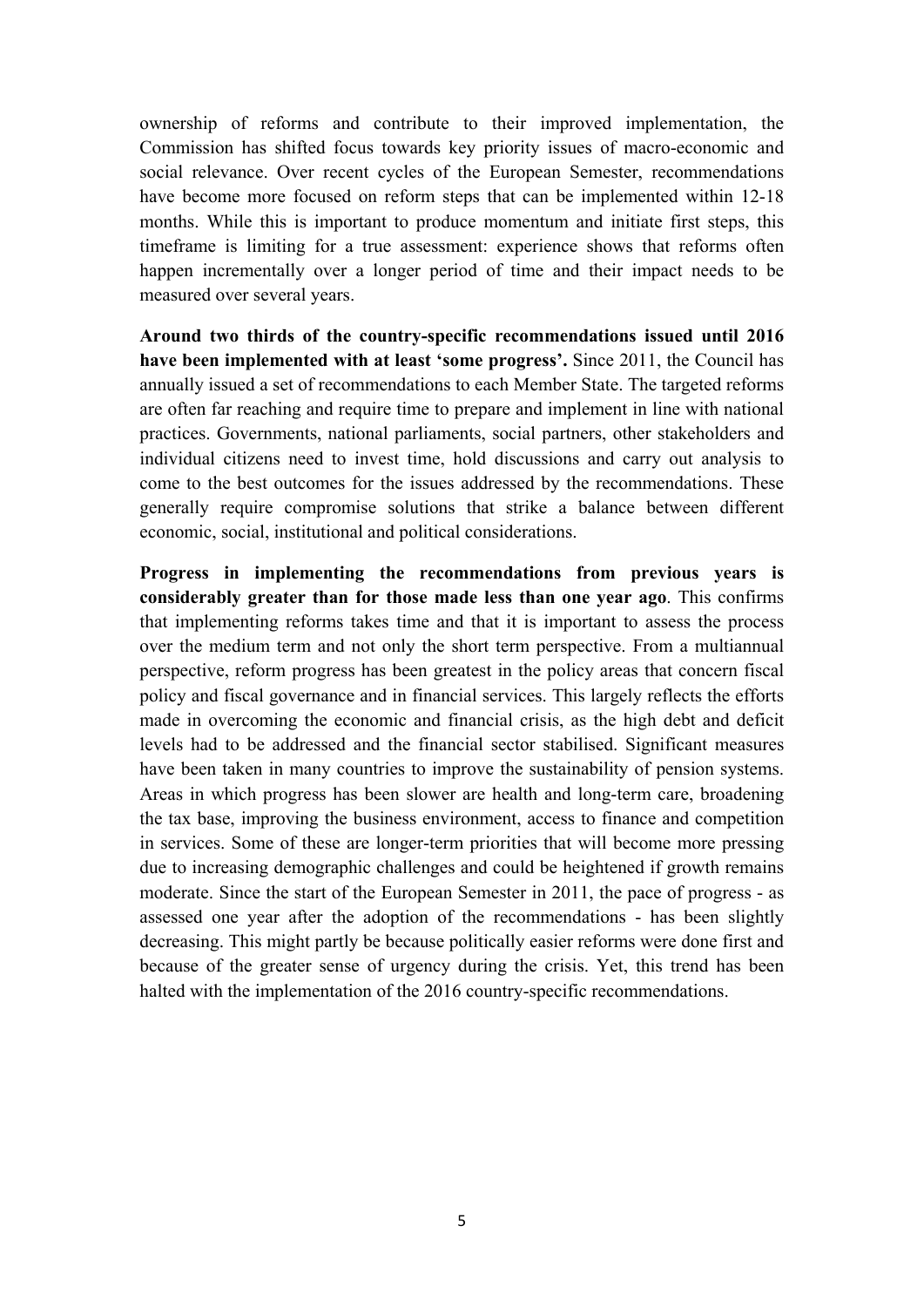ownership of reforms and contribute to their improved implementation, the Commission has shifted focus towards key priority issues of macro-economic and social relevance. Over recent cycles of the European Semester, recommendations have become more focused on reform steps that can be implemented within 12-18 months. While this is important to produce momentum and initiate first steps, this timeframe is limiting for a true assessment: experience shows that reforms often happen incrementally over a longer period of time and their impact needs to be measured over several years.

**Around two thirds of the country-specific recommendations issued until 2016 have been implemented with at least 'some progress'.** Since 2011, the Council has annually issued a set of recommendations to each Member State. The targeted reforms are often far reaching and require time to prepare and implement in line with national practices. Governments, national parliaments, social partners, other stakeholders and individual citizens need to invest time, hold discussions and carry out analysis to come to the best outcomes for the issues addressed by the recommendations. These generally require compromise solutions that strike a balance between different economic, social, institutional and political considerations.

**Progress in implementing the recommendations from previous years is considerably greater than for those made less than one year ago**. This confirms that implementing reforms takes time and that it is important to assess the process over the medium term and not only the short term perspective. From a multiannual perspective, reform progress has been greatest in the policy areas that concern fiscal policy and fiscal governance and in financial services. This largely reflects the efforts made in overcoming the economic and financial crisis, as the high debt and deficit levels had to be addressed and the financial sector stabilised. Significant measures have been taken in many countries to improve the sustainability of pension systems. Areas in which progress has been slower are health and long-term care, broadening the tax base, improving the business environment, access to finance and competition in services. Some of these are longer-term priorities that will become more pressing due to increasing demographic challenges and could be heightened if growth remains moderate. Since the start of the European Semester in 2011, the pace of progress - as assessed one year after the adoption of the recommendations - has been slightly decreasing. This might partly be because politically easier reforms were done first and because of the greater sense of urgency during the crisis. Yet, this trend has been halted with the implementation of the 2016 country-specific recommendations.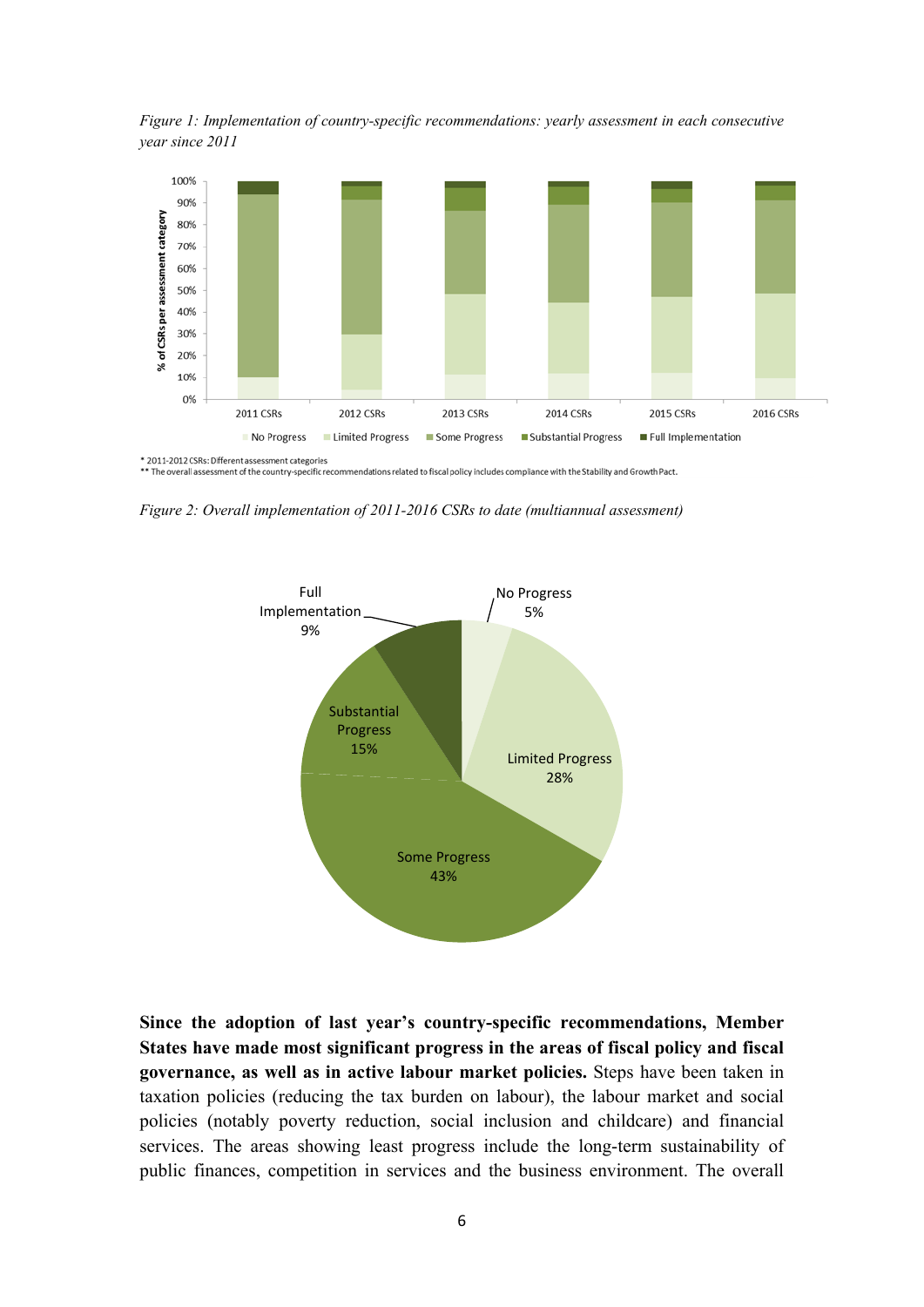*Figure 1: Implementation of country-specific recommendations: yearly assessment in each consecutive year since 2011* 



*Figure 2: Overall implementation of 2011-2016 CSRs to date (multiannual assessment)*



**Since the adoption of last year's country-specific recommendations, Member States have made most significant progress in the areas of fiscal policy and fiscal governance, as well as in active labour market policies.** Steps have been taken in taxation policies (reducing the tax burden on labour), the labour market and social policies (notably poverty reduction, social inclusion and childcare) and financial services. The areas showing least progress include the long-term sustainability of public finances, competition in services and the business environment. The overall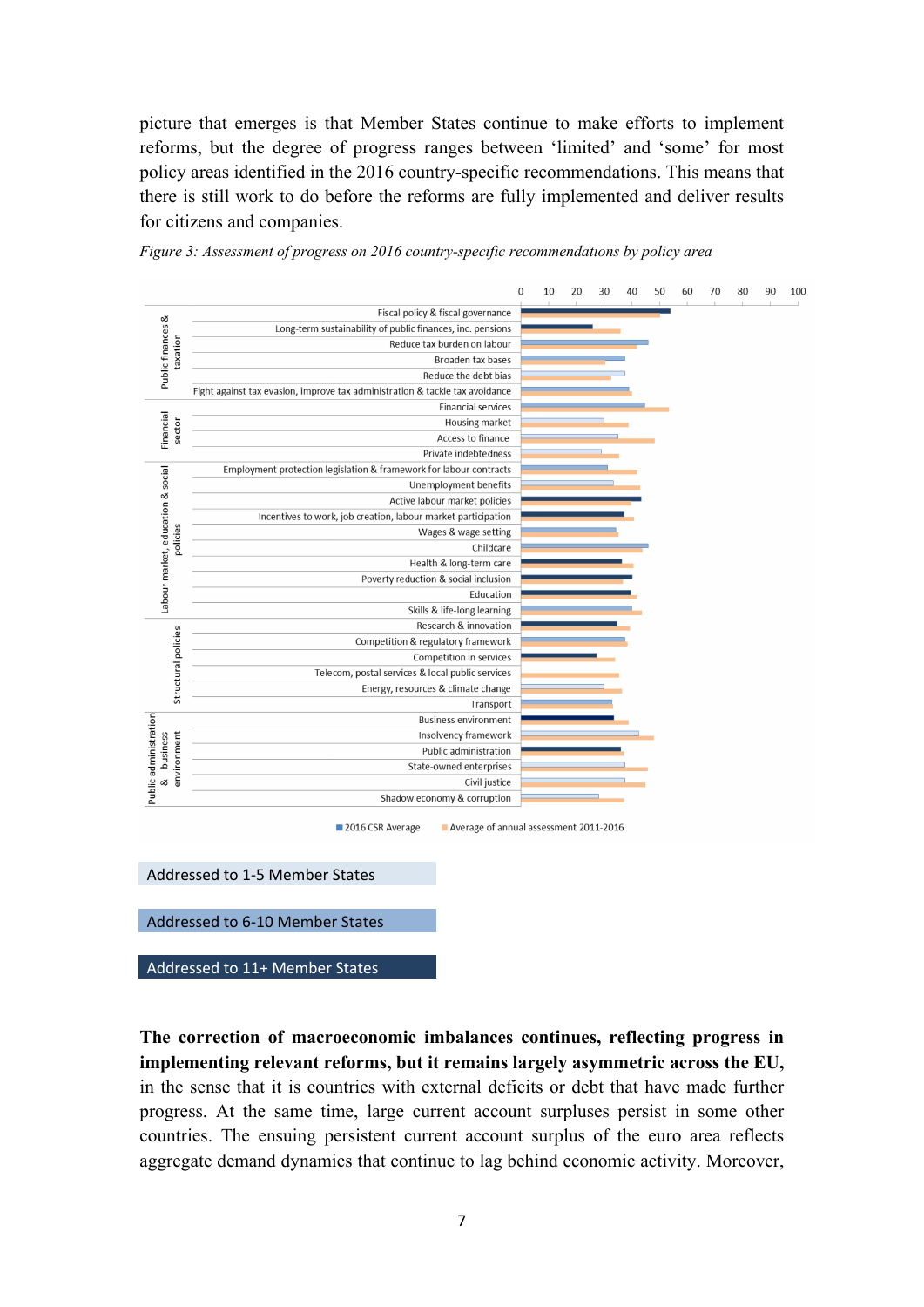picture that emerges is that Member States continue to make efforts to implement reforms, but the degree of progress ranges between 'limited' and 'some' for most policy areas identified in the 2016 country-specific recommendations. This means that there is still work to do before the reforms are fully implemented and deliver results for citizens and companies.



*Figure 3: Assessment of progress on 2016 country-specific recommendations by policy area*

Addressed to 1-5 Member States

Addressed to 6-10 Member States

Addressed to 11+ Member States

**The correction of macroeconomic imbalances continues, reflecting progress in implementing relevant reforms, but it remains largely asymmetric across the EU,**  in the sense that it is countries with external deficits or debt that have made further progress. At the same time, large current account surpluses persist in some other countries. The ensuing persistent current account surplus of the euro area reflects aggregate demand dynamics that continue to lag behind economic activity. Moreover,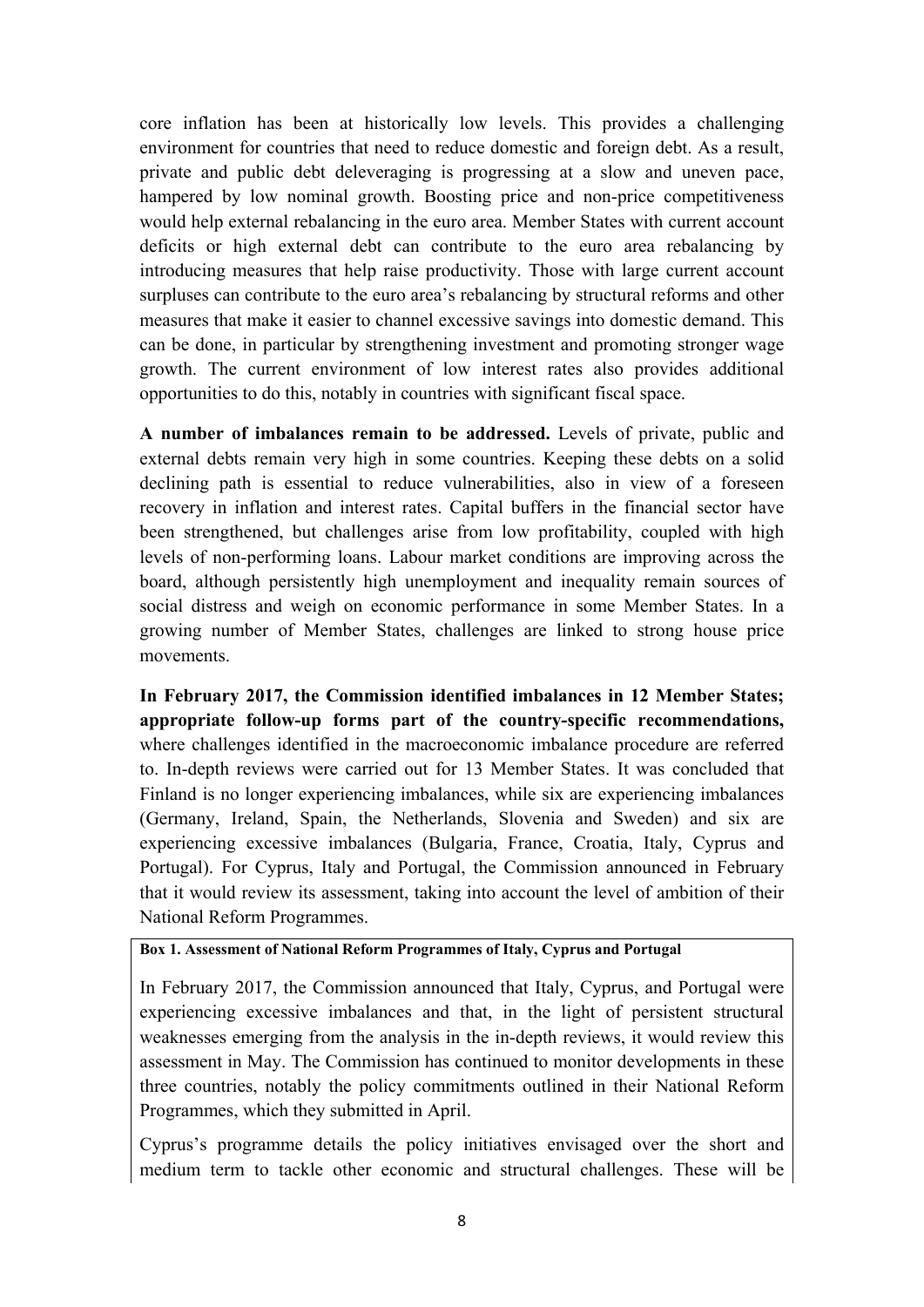core inflation has been at historically low levels. This provides a challenging environment for countries that need to reduce domestic and foreign debt. As a result, private and public debt deleveraging is progressing at a slow and uneven pace, hampered by low nominal growth. Boosting price and non-price competitiveness would help external rebalancing in the euro area. Member States with current account deficits or high external debt can contribute to the euro area rebalancing by introducing measures that help raise productivity. Those with large current account surpluses can contribute to the euro area's rebalancing by structural reforms and other measures that make it easier to channel excessive savings into domestic demand. This can be done, in particular by strengthening investment and promoting stronger wage growth. The current environment of low interest rates also provides additional opportunities to do this, notably in countries with significant fiscal space.

**A number of imbalances remain to be addressed.** Levels of private, public and external debts remain very high in some countries. Keeping these debts on a solid declining path is essential to reduce vulnerabilities, also in view of a foreseen recovery in inflation and interest rates. Capital buffers in the financial sector have been strengthened, but challenges arise from low profitability, coupled with high levels of non-performing loans. Labour market conditions are improving across the board, although persistently high unemployment and inequality remain sources of social distress and weigh on economic performance in some Member States. In a growing number of Member States, challenges are linked to strong house price movements.

**In February 2017, the Commission identified imbalances in 12 Member States; appropriate follow-up forms part of the country-specific recommendations,**  where challenges identified in the macroeconomic imbalance procedure are referred to. In-depth reviews were carried out for 13 Member States. It was concluded that Finland is no longer experiencing imbalances, while six are experiencing imbalances (Germany, Ireland, Spain, the Netherlands, Slovenia and Sweden) and six are experiencing excessive imbalances (Bulgaria, France, Croatia, Italy, Cyprus and Portugal). For Cyprus, Italy and Portugal, the Commission announced in February that it would review its assessment, taking into account the level of ambition of their National Reform Programmes.

#### **Box 1. Assessment of National Reform Programmes of Italy, Cyprus and Portugal**

In February 2017, the Commission announced that Italy, Cyprus, and Portugal were experiencing excessive imbalances and that, in the light of persistent structural weaknesses emerging from the analysis in the in-depth reviews, it would review this assessment in May. The Commission has continued to monitor developments in these three countries, notably the policy commitments outlined in their National Reform Programmes, which they submitted in April.

Cyprus's programme details the policy initiatives envisaged over the short and medium term to tackle other economic and structural challenges. These will be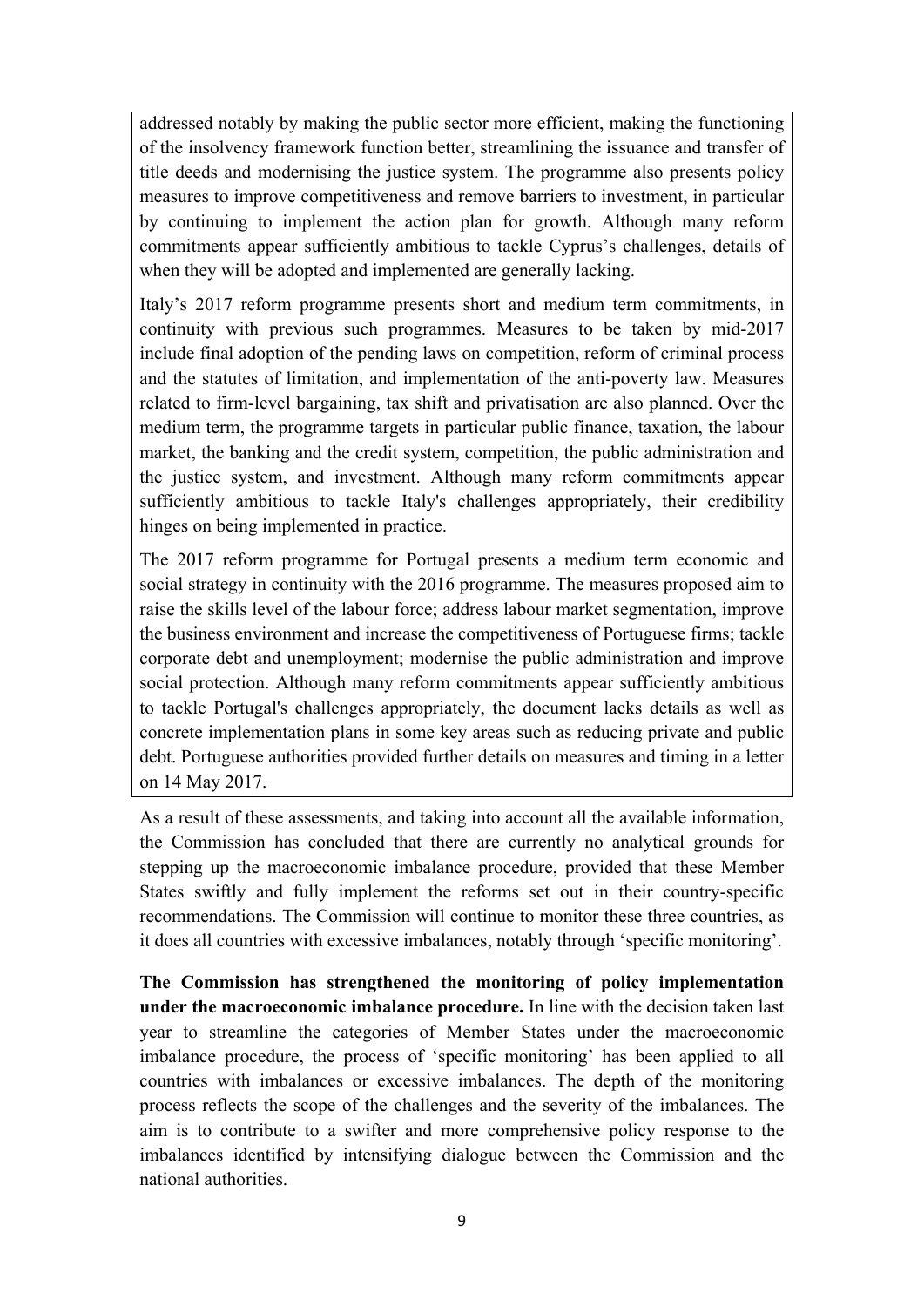addressed notably by making the public sector more efficient, making the functioning of the insolvency framework function better, streamlining the issuance and transfer of title deeds and modernising the justice system. The programme also presents policy measures to improve competitiveness and remove barriers to investment, in particular by continuing to implement the action plan for growth. Although many reform commitments appear sufficiently ambitious to tackle Cyprus's challenges, details of when they will be adopted and implemented are generally lacking.

Italy's 2017 reform programme presents short and medium term commitments, in continuity with previous such programmes. Measures to be taken by mid-2017 include final adoption of the pending laws on competition, reform of criminal process and the statutes of limitation, and implementation of the anti-poverty law. Measures related to firm-level bargaining, tax shift and privatisation are also planned. Over the medium term, the programme targets in particular public finance, taxation, the labour market, the banking and the credit system, competition, the public administration and the justice system, and investment. Although many reform commitments appear sufficiently ambitious to tackle Italy's challenges appropriately, their credibility hinges on being implemented in practice.

The 2017 reform programme for Portugal presents a medium term economic and social strategy in continuity with the 2016 programme. The measures proposed aim to raise the skills level of the labour force; address labour market segmentation, improve the business environment and increase the competitiveness of Portuguese firms; tackle corporate debt and unemployment; modernise the public administration and improve social protection. Although many reform commitments appear sufficiently ambitious to tackle Portugal's challenges appropriately, the document lacks details as well as concrete implementation plans in some key areas such as reducing private and public debt. Portuguese authorities provided further details on measures and timing in a letter on 14 May 2017.

As a result of these assessments, and taking into account all the available information, the Commission has concluded that there are currently no analytical grounds for stepping up the macroeconomic imbalance procedure, provided that these Member States swiftly and fully implement the reforms set out in their country-specific recommendations. The Commission will continue to monitor these three countries, as it does all countries with excessive imbalances, notably through 'specific monitoring'.

**The Commission has strengthened the monitoring of policy implementation under the macroeconomic imbalance procedure.** In line with the decision taken last year to streamline the categories of Member States under the macroeconomic imbalance procedure, the process of 'specific monitoring' has been applied to all countries with imbalances or excessive imbalances. The depth of the monitoring process reflects the scope of the challenges and the severity of the imbalances. The aim is to contribute to a swifter and more comprehensive policy response to the imbalances identified by intensifying dialogue between the Commission and the national authorities.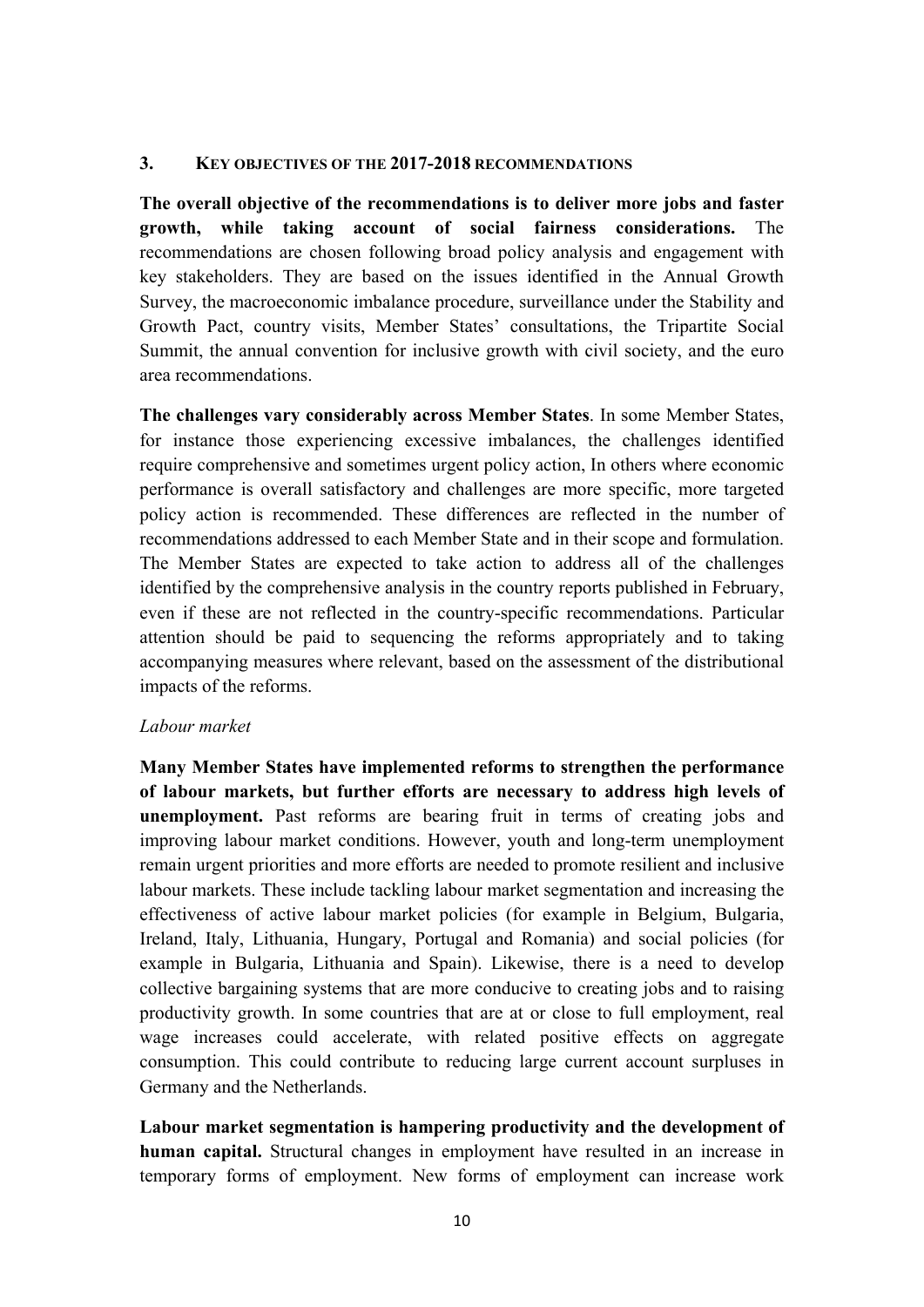#### **3. KEY OBJECTIVES OF THE 2017-2018 RECOMMENDATIONS**

**The overall objective of the recommendations is to deliver more jobs and faster growth, while taking account of social fairness considerations.** The recommendations are chosen following broad policy analysis and engagement with key stakeholders. They are based on the issues identified in the Annual Growth Survey, the macroeconomic imbalance procedure, surveillance under the Stability and Growth Pact, country visits, Member States' consultations, the Tripartite Social Summit, the annual convention for inclusive growth with civil society, and the euro area recommendations.

**The challenges vary considerably across Member States**. In some Member States, for instance those experiencing excessive imbalances, the challenges identified require comprehensive and sometimes urgent policy action, In others where economic performance is overall satisfactory and challenges are more specific, more targeted policy action is recommended. These differences are reflected in the number of recommendations addressed to each Member State and in their scope and formulation. The Member States are expected to take action to address all of the challenges identified by the comprehensive analysis in the country reports published in February, even if these are not reflected in the country-specific recommendations. Particular attention should be paid to sequencing the reforms appropriately and to taking accompanying measures where relevant, based on the assessment of the distributional impacts of the reforms.

## *Labour market*

**Many Member States have implemented reforms to strengthen the performance of labour markets, but further efforts are necessary to address high levels of unemployment.** Past reforms are bearing fruit in terms of creating jobs and improving labour market conditions. However, youth and long-term unemployment remain urgent priorities and more efforts are needed to promote resilient and inclusive labour markets. These include tackling labour market segmentation and increasing the effectiveness of active labour market policies (for example in Belgium, Bulgaria, Ireland, Italy, Lithuania, Hungary, Portugal and Romania) and social policies (for example in Bulgaria, Lithuania and Spain). Likewise, there is a need to develop collective bargaining systems that are more conducive to creating jobs and to raising productivity growth. In some countries that are at or close to full employment, real wage increases could accelerate, with related positive effects on aggregate consumption. This could contribute to reducing large current account surpluses in Germany and the Netherlands.

**Labour market segmentation is hampering productivity and the development of human capital.** Structural changes in employment have resulted in an increase in temporary forms of employment. New forms of employment can increase work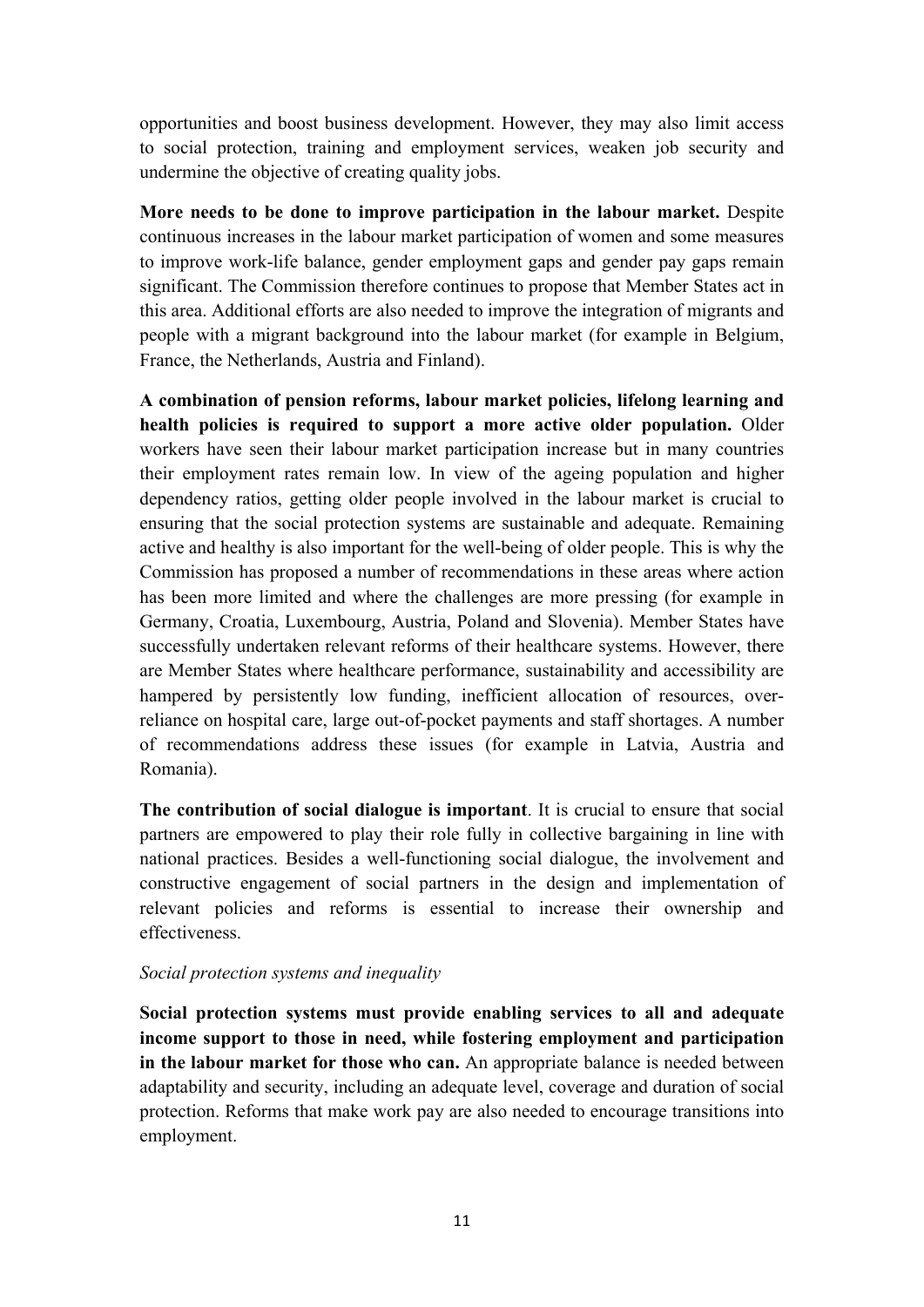opportunities and boost business development. However, they may also limit access to social protection, training and employment services, weaken job security and undermine the objective of creating quality jobs.

**More needs to be done to improve participation in the labour market.** Despite continuous increases in the labour market participation of women and some measures to improve work-life balance, gender employment gaps and gender pay gaps remain significant. The Commission therefore continues to propose that Member States act in this area. Additional efforts are also needed to improve the integration of migrants and people with a migrant background into the labour market (for example in Belgium, France, the Netherlands, Austria and Finland).

**A combination of pension reforms, labour market policies, lifelong learning and health policies is required to support a more active older population.** Older workers have seen their labour market participation increase but in many countries their employment rates remain low. In view of the ageing population and higher dependency ratios, getting older people involved in the labour market is crucial to ensuring that the social protection systems are sustainable and adequate. Remaining active and healthy is also important for the well-being of older people. This is why the Commission has proposed a number of recommendations in these areas where action has been more limited and where the challenges are more pressing (for example in Germany, Croatia, Luxembourg, Austria, Poland and Slovenia). Member States have successfully undertaken relevant reforms of their healthcare systems. However, there are Member States where healthcare performance, sustainability and accessibility are hampered by persistently low funding, inefficient allocation of resources, overreliance on hospital care, large out-of-pocket payments and staff shortages. A number of recommendations address these issues (for example in Latvia, Austria and Romania).

**The contribution of social dialogue is important**. It is crucial to ensure that social partners are empowered to play their role fully in collective bargaining in line with national practices. Besides a well-functioning social dialogue, the involvement and constructive engagement of social partners in the design and implementation of relevant policies and reforms is essential to increase their ownership and effectiveness.

## *Social protection systems and inequality*

**Social protection systems must provide enabling services to all and adequate income support to those in need, while fostering employment and participation in the labour market for those who can.** An appropriate balance is needed between adaptability and security, including an adequate level, coverage and duration of social protection. Reforms that make work pay are also needed to encourage transitions into employment.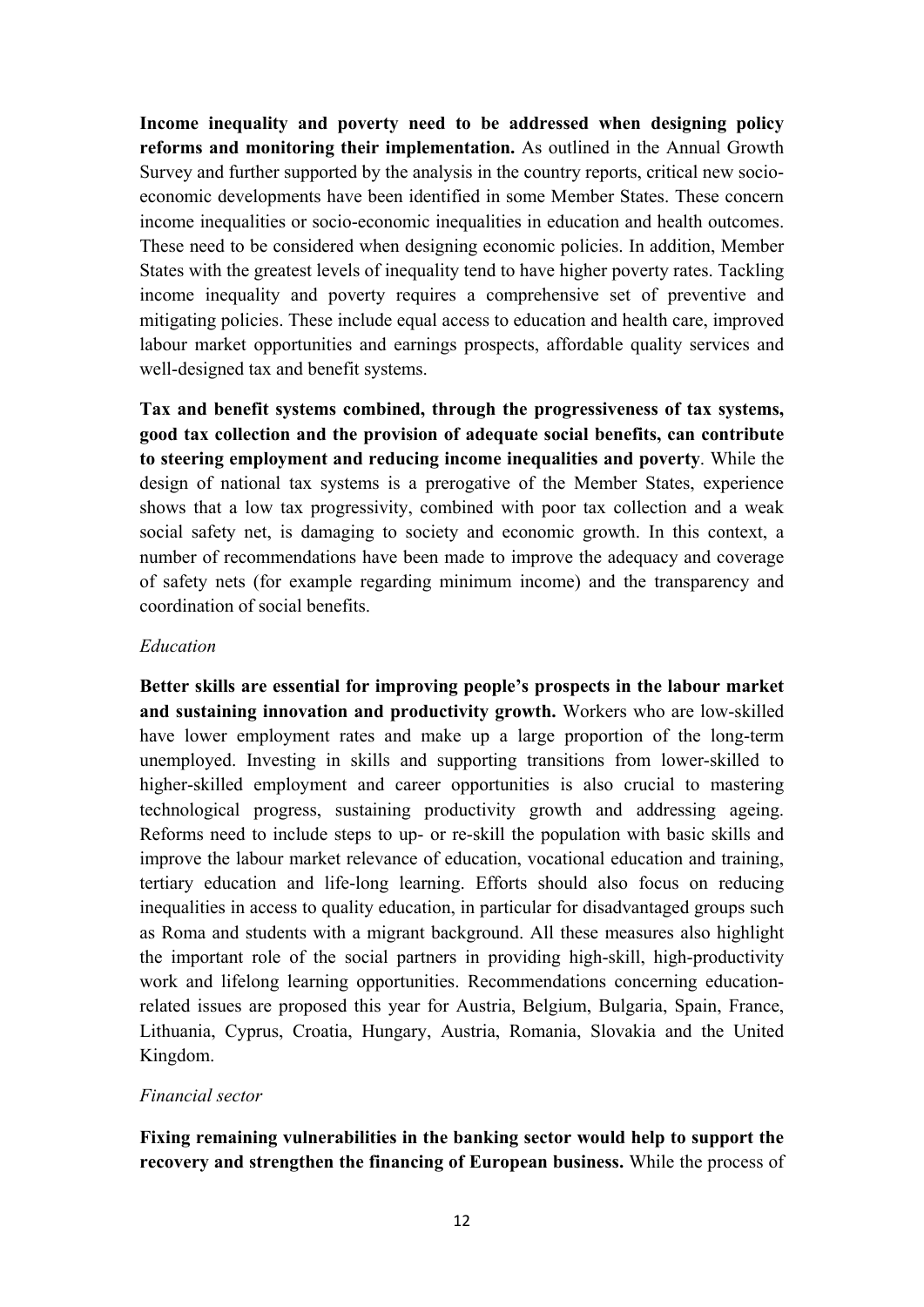**Income inequality and poverty need to be addressed when designing policy reforms and monitoring their implementation.** As outlined in the Annual Growth Survey and further supported by the analysis in the country reports, critical new socioeconomic developments have been identified in some Member States. These concern income inequalities or socio-economic inequalities in education and health outcomes. These need to be considered when designing economic policies. In addition, Member States with the greatest levels of inequality tend to have higher poverty rates. Tackling income inequality and poverty requires a comprehensive set of preventive and mitigating policies. These include equal access to education and health care, improved labour market opportunities and earnings prospects, affordable quality services and well-designed tax and benefit systems.

**Tax and benefit systems combined, through the progressiveness of tax systems, good tax collection and the provision of adequate social benefits, can contribute to steering employment and reducing income inequalities and poverty**. While the design of national tax systems is a prerogative of the Member States, experience shows that a low tax progressivity, combined with poor tax collection and a weak social safety net, is damaging to society and economic growth. In this context, a number of recommendations have been made to improve the adequacy and coverage of safety nets (for example regarding minimum income) and the transparency and coordination of social benefits.

## *Education*

**Better skills are essential for improving people's prospects in the labour market and sustaining innovation and productivity growth.** Workers who are low-skilled have lower employment rates and make up a large proportion of the long-term unemployed. Investing in skills and supporting transitions from lower-skilled to higher-skilled employment and career opportunities is also crucial to mastering technological progress, sustaining productivity growth and addressing ageing. Reforms need to include steps to up- or re-skill the population with basic skills and improve the labour market relevance of education, vocational education and training, tertiary education and life-long learning. Efforts should also focus on reducing inequalities in access to quality education, in particular for disadvantaged groups such as Roma and students with a migrant background. All these measures also highlight the important role of the social partners in providing high-skill, high-productivity work and lifelong learning opportunities. Recommendations concerning educationrelated issues are proposed this year for Austria, Belgium, Bulgaria, Spain, France, Lithuania, Cyprus, Croatia, Hungary, Austria, Romania, Slovakia and the United Kingdom.

## *Financial sector*

**Fixing remaining vulnerabilities in the banking sector would help to support the recovery and strengthen the financing of European business.** While the process of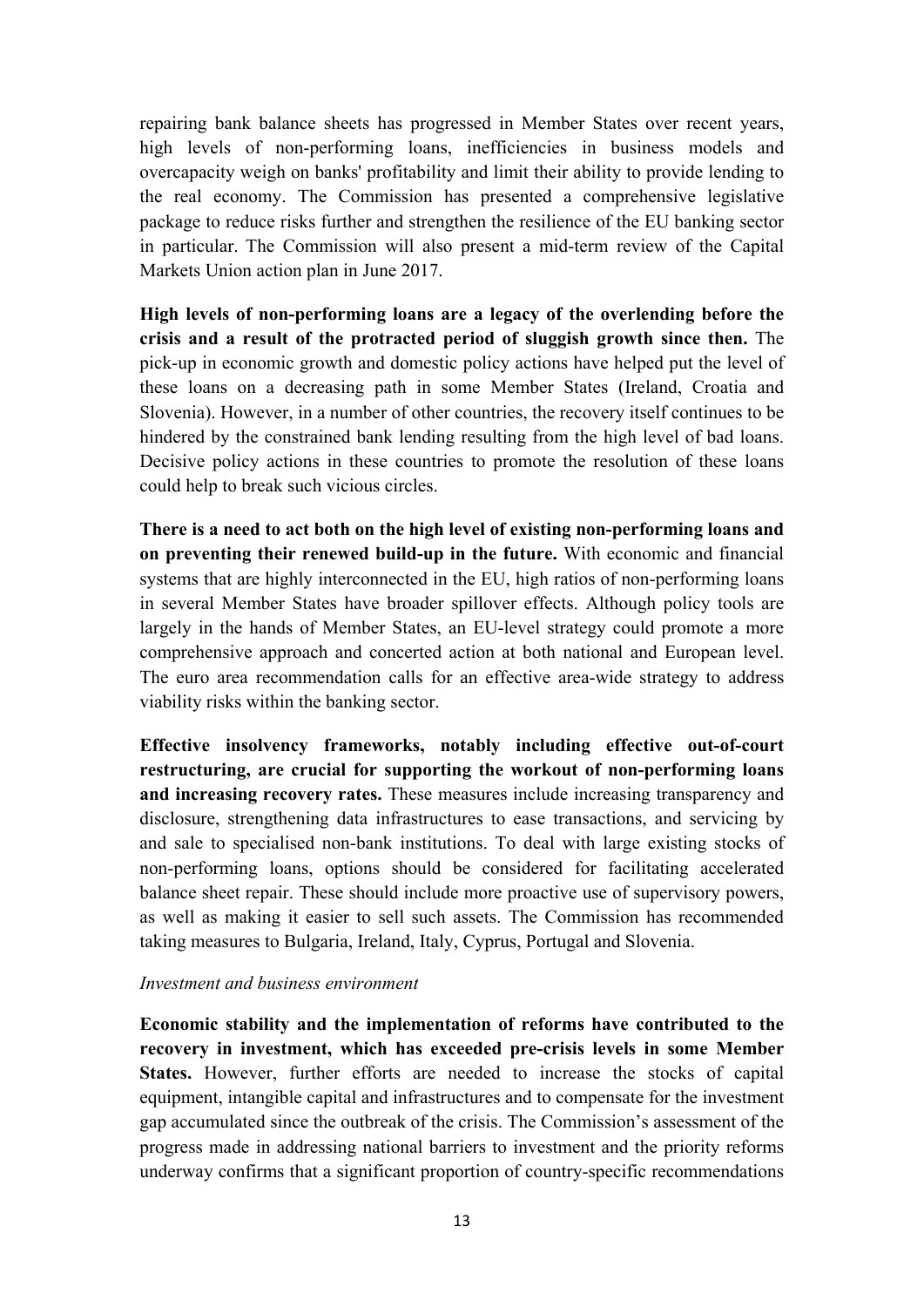repairing bank balance sheets has progressed in Member States over recent years, high levels of non-performing loans, inefficiencies in business models and overcapacity weigh on banks' profitability and limit their ability to provide lending to the real economy. The Commission has presented a comprehensive legislative package to reduce risks further and strengthen the resilience of the EU banking sector in particular. The Commission will also present a mid-term review of the Capital Markets Union action plan in June 2017.

**High levels of non-performing loans are a legacy of the overlending before the crisis and a result of the protracted period of sluggish growth since then.** The pick-up in economic growth and domestic policy actions have helped put the level of these loans on a decreasing path in some Member States (Ireland, Croatia and Slovenia). However, in a number of other countries, the recovery itself continues to be hindered by the constrained bank lending resulting from the high level of bad loans. Decisive policy actions in these countries to promote the resolution of these loans could help to break such vicious circles.

**There is a need to act both on the high level of existing non-performing loans and on preventing their renewed build-up in the future.** With economic and financial systems that are highly interconnected in the EU, high ratios of non-performing loans in several Member States have broader spillover effects. Although policy tools are largely in the hands of Member States, an EU-level strategy could promote a more comprehensive approach and concerted action at both national and European level. The euro area recommendation calls for an effective area-wide strategy to address viability risks within the banking sector.

**Effective insolvency frameworks, notably including effective out-of-court restructuring, are crucial for supporting the workout of non-performing loans and increasing recovery rates.** These measures include increasing transparency and disclosure, strengthening data infrastructures to ease transactions, and servicing by and sale to specialised non-bank institutions. To deal with large existing stocks of non-performing loans, options should be considered for facilitating accelerated balance sheet repair. These should include more proactive use of supervisory powers, as well as making it easier to sell such assets. The Commission has recommended taking measures to Bulgaria, Ireland, Italy, Cyprus, Portugal and Slovenia.

## *Investment and business environment*

**Economic stability and the implementation of reforms have contributed to the recovery in investment, which has exceeded pre-crisis levels in some Member States.** However, further efforts are needed to increase the stocks of capital equipment, intangible capital and infrastructures and to compensate for the investment gap accumulated since the outbreak of the crisis. The Commission's assessment of the progress made in addressing national barriers to investment and the priority reforms underway confirms that a significant proportion of country-specific recommendations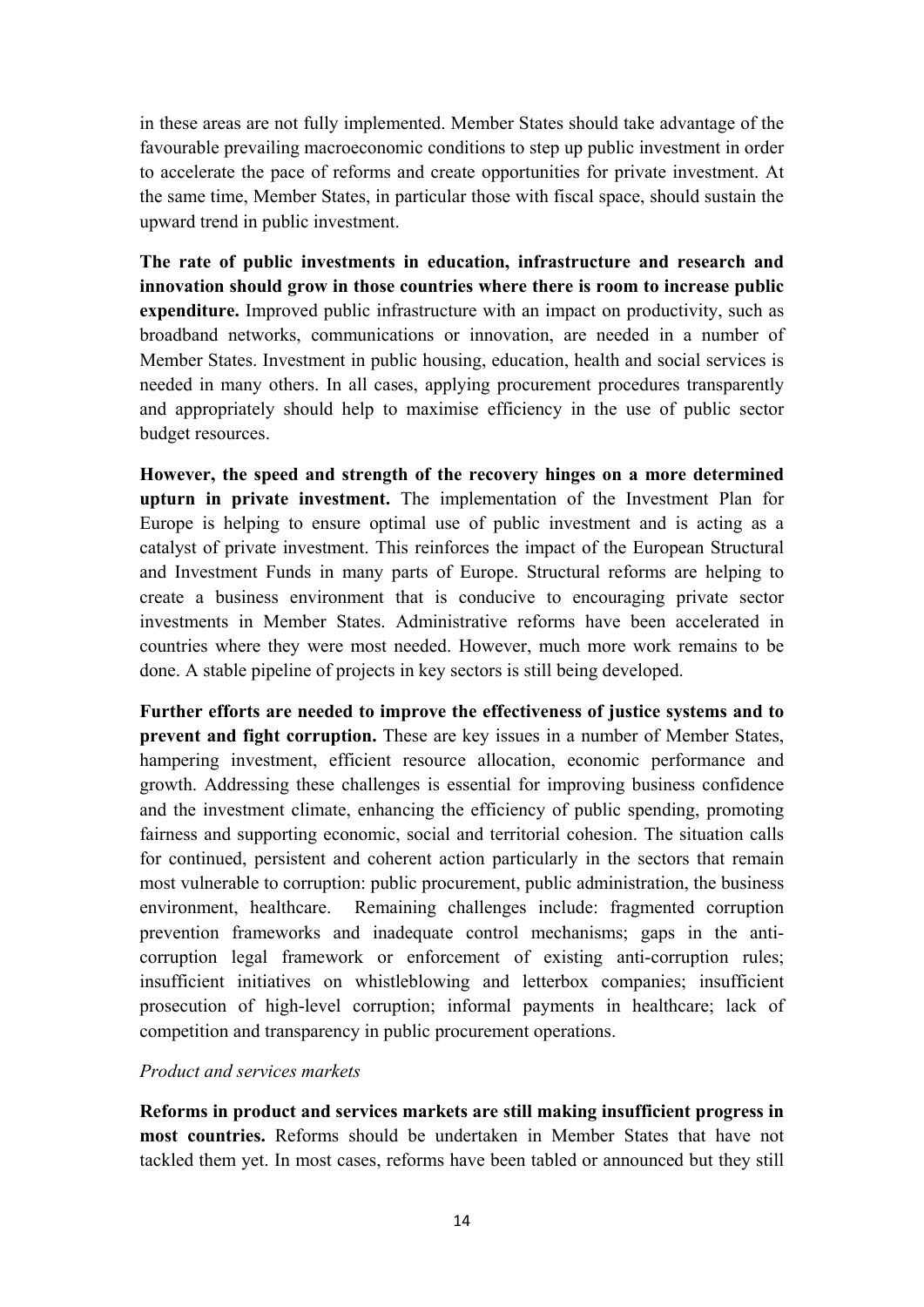in these areas are not fully implemented. Member States should take advantage of the favourable prevailing macroeconomic conditions to step up public investment in order to accelerate the pace of reforms and create opportunities for private investment. At the same time, Member States, in particular those with fiscal space, should sustain the upward trend in public investment.

**The rate of public investments in education, infrastructure and research and innovation should grow in those countries where there is room to increase public expenditure.** Improved public infrastructure with an impact on productivity, such as broadband networks, communications or innovation, are needed in a number of Member States. Investment in public housing, education, health and social services is needed in many others. In all cases, applying procurement procedures transparently and appropriately should help to maximise efficiency in the use of public sector budget resources.

**However, the speed and strength of the recovery hinges on a more determined upturn in private investment.** The implementation of the Investment Plan for Europe is helping to ensure optimal use of public investment and is acting as a catalyst of private investment. This reinforces the impact of the European Structural and Investment Funds in many parts of Europe. Structural reforms are helping to create a business environment that is conducive to encouraging private sector investments in Member States. Administrative reforms have been accelerated in countries where they were most needed. However, much more work remains to be done. A stable pipeline of projects in key sectors is still being developed.

**Further efforts are needed to improve the effectiveness of justice systems and to prevent and fight corruption.** These are key issues in a number of Member States, hampering investment, efficient resource allocation, economic performance and growth. Addressing these challenges is essential for improving business confidence and the investment climate, enhancing the efficiency of public spending, promoting fairness and supporting economic, social and territorial cohesion. The situation calls for continued, persistent and coherent action particularly in the sectors that remain most vulnerable to corruption: public procurement, public administration, the business environment, healthcare. Remaining challenges include: fragmented corruption prevention frameworks and inadequate control mechanisms; gaps in the anticorruption legal framework or enforcement of existing anti-corruption rules; insufficient initiatives on whistleblowing and letterbox companies; insufficient prosecution of high-level corruption; informal payments in healthcare; lack of competition and transparency in public procurement operations.

## *Product and services markets*

**Reforms in product and services markets are still making insufficient progress in most countries.** Reforms should be undertaken in Member States that have not tackled them yet. In most cases, reforms have been tabled or announced but they still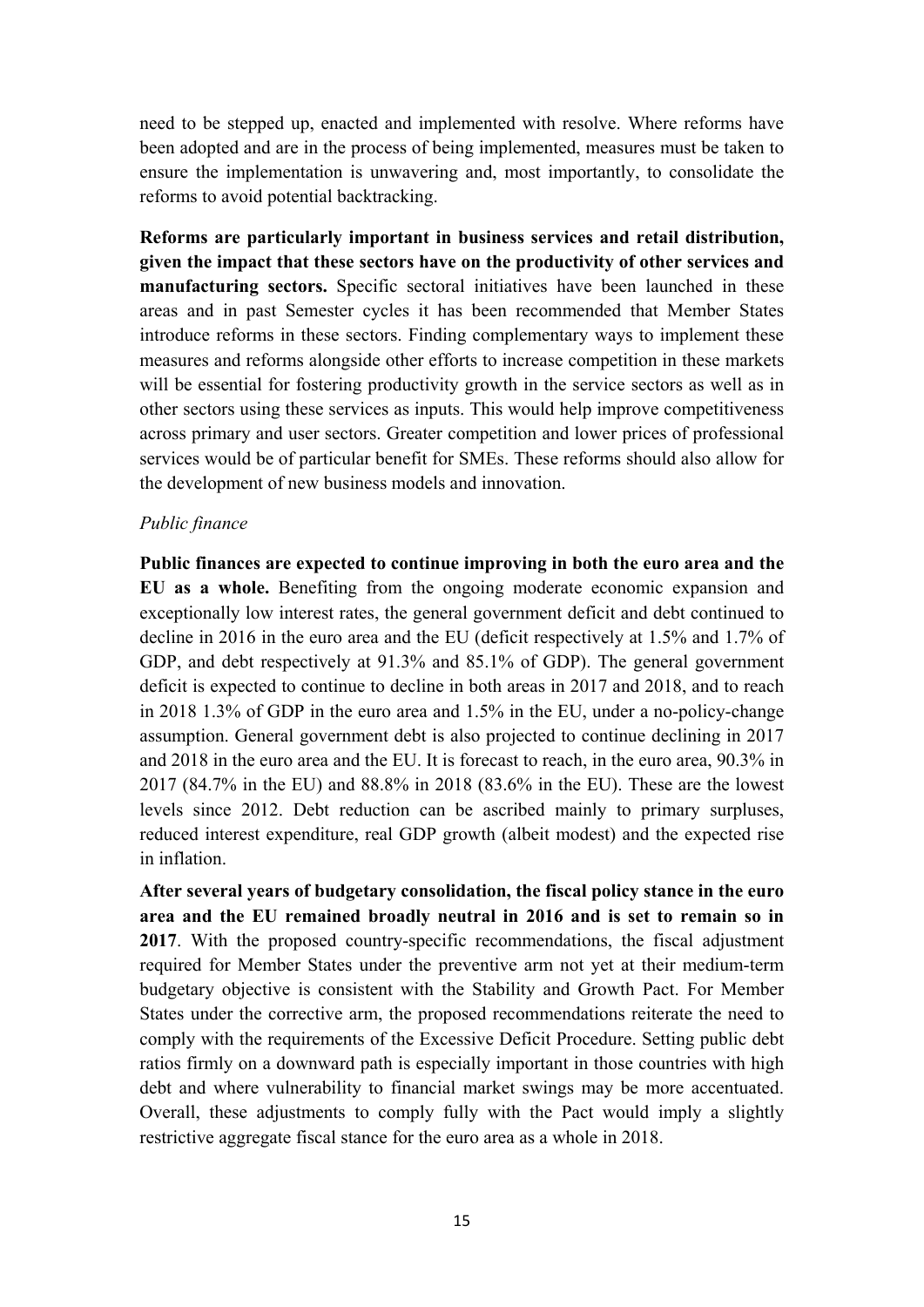need to be stepped up, enacted and implemented with resolve. Where reforms have been adopted and are in the process of being implemented, measures must be taken to ensure the implementation is unwavering and, most importantly, to consolidate the reforms to avoid potential backtracking.

**Reforms are particularly important in business services and retail distribution, given the impact that these sectors have on the productivity of other services and manufacturing sectors.** Specific sectoral initiatives have been launched in these areas and in past Semester cycles it has been recommended that Member States introduce reforms in these sectors. Finding complementary ways to implement these measures and reforms alongside other efforts to increase competition in these markets will be essential for fostering productivity growth in the service sectors as well as in other sectors using these services as inputs. This would help improve competitiveness across primary and user sectors. Greater competition and lower prices of professional services would be of particular benefit for SMEs. These reforms should also allow for the development of new business models and innovation.

## *Public finance*

**Public finances are expected to continue improving in both the euro area and the EU as a whole.** Benefiting from the ongoing moderate economic expansion and exceptionally low interest rates, the general government deficit and debt continued to decline in 2016 in the euro area and the EU (deficit respectively at 1.5% and 1.7% of GDP, and debt respectively at 91.3% and 85.1% of GDP). The general government deficit is expected to continue to decline in both areas in 2017 and 2018, and to reach in 2018 1.3% of GDP in the euro area and 1.5% in the EU, under a no-policy-change assumption. General government debt is also projected to continue declining in 2017 and 2018 in the euro area and the EU. It is forecast to reach, in the euro area, 90.3% in 2017 (84.7% in the EU) and 88.8% in 2018 (83.6% in the EU). These are the lowest levels since 2012. Debt reduction can be ascribed mainly to primary surpluses, reduced interest expenditure, real GDP growth (albeit modest) and the expected rise in inflation.

**After several years of budgetary consolidation, the fiscal policy stance in the euro area and the EU remained broadly neutral in 2016 and is set to remain so in 2017**. With the proposed country-specific recommendations, the fiscal adjustment required for Member States under the preventive arm not yet at their medium-term budgetary objective is consistent with the Stability and Growth Pact. For Member States under the corrective arm, the proposed recommendations reiterate the need to comply with the requirements of the Excessive Deficit Procedure. Setting public debt ratios firmly on a downward path is especially important in those countries with high debt and where vulnerability to financial market swings may be more accentuated. Overall, these adjustments to comply fully with the Pact would imply a slightly restrictive aggregate fiscal stance for the euro area as a whole in 2018.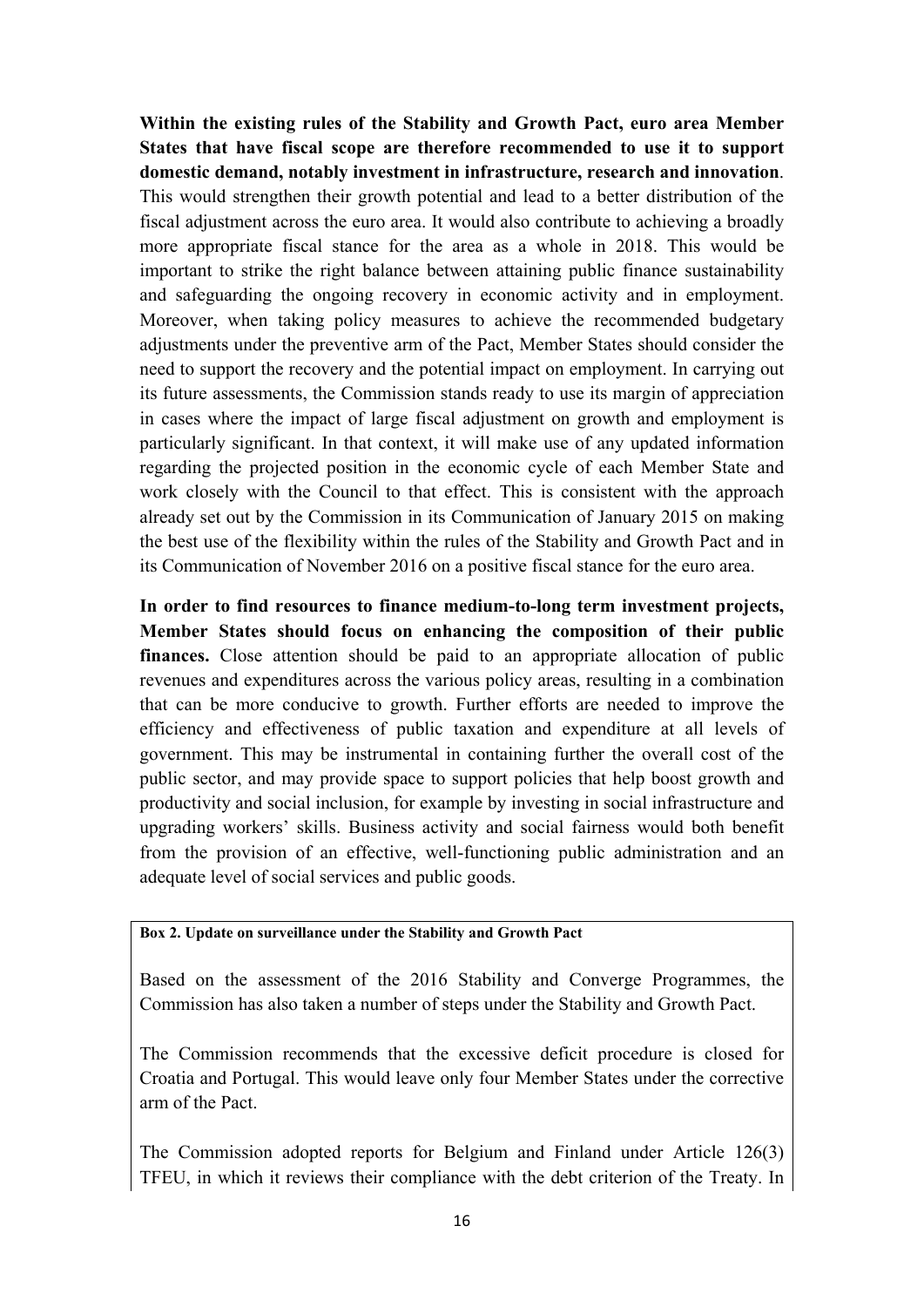**Within the existing rules of the Stability and Growth Pact, euro area Member States that have fiscal scope are therefore recommended to use it to support domestic demand, notably investment in infrastructure, research and innovation**. This would strengthen their growth potential and lead to a better distribution of the fiscal adjustment across the euro area. It would also contribute to achieving a broadly more appropriate fiscal stance for the area as a whole in 2018. This would be important to strike the right balance between attaining public finance sustainability and safeguarding the ongoing recovery in economic activity and in employment. Moreover, when taking policy measures to achieve the recommended budgetary adjustments under the preventive arm of the Pact, Member States should consider the need to support the recovery and the potential impact on employment. In carrying out its future assessments, the Commission stands ready to use its margin of appreciation in cases where the impact of large fiscal adjustment on growth and employment is particularly significant. In that context, it will make use of any updated information regarding the projected position in the economic cycle of each Member State and work closely with the Council to that effect. This is consistent with the approach already set out by the Commission in its Communication of January 2015 on making the best use of the flexibility within the rules of the Stability and Growth Pact and in its Communication of November 2016 on a positive fiscal stance for the euro area.

**In order to find resources to finance medium-to-long term investment projects, Member States should focus on enhancing the composition of their public finances.** Close attention should be paid to an appropriate allocation of public revenues and expenditures across the various policy areas, resulting in a combination that can be more conducive to growth. Further efforts are needed to improve the efficiency and effectiveness of public taxation and expenditure at all levels of government. This may be instrumental in containing further the overall cost of the public sector, and may provide space to support policies that help boost growth and productivity and social inclusion, for example by investing in social infrastructure and upgrading workers' skills. Business activity and social fairness would both benefit from the provision of an effective, well-functioning public administration and an adequate level of social services and public goods.

## **Box 2. Update on surveillance under the Stability and Growth Pact**

Based on the assessment of the 2016 Stability and Converge Programmes, the Commission has also taken a number of steps under the Stability and Growth Pact.

The Commission recommends that the excessive deficit procedure is closed for Croatia and Portugal. This would leave only four Member States under the corrective arm of the Pact.

The Commission adopted reports for Belgium and Finland under Article 126(3) TFEU, in which it reviews their compliance with the debt criterion of the Treaty. In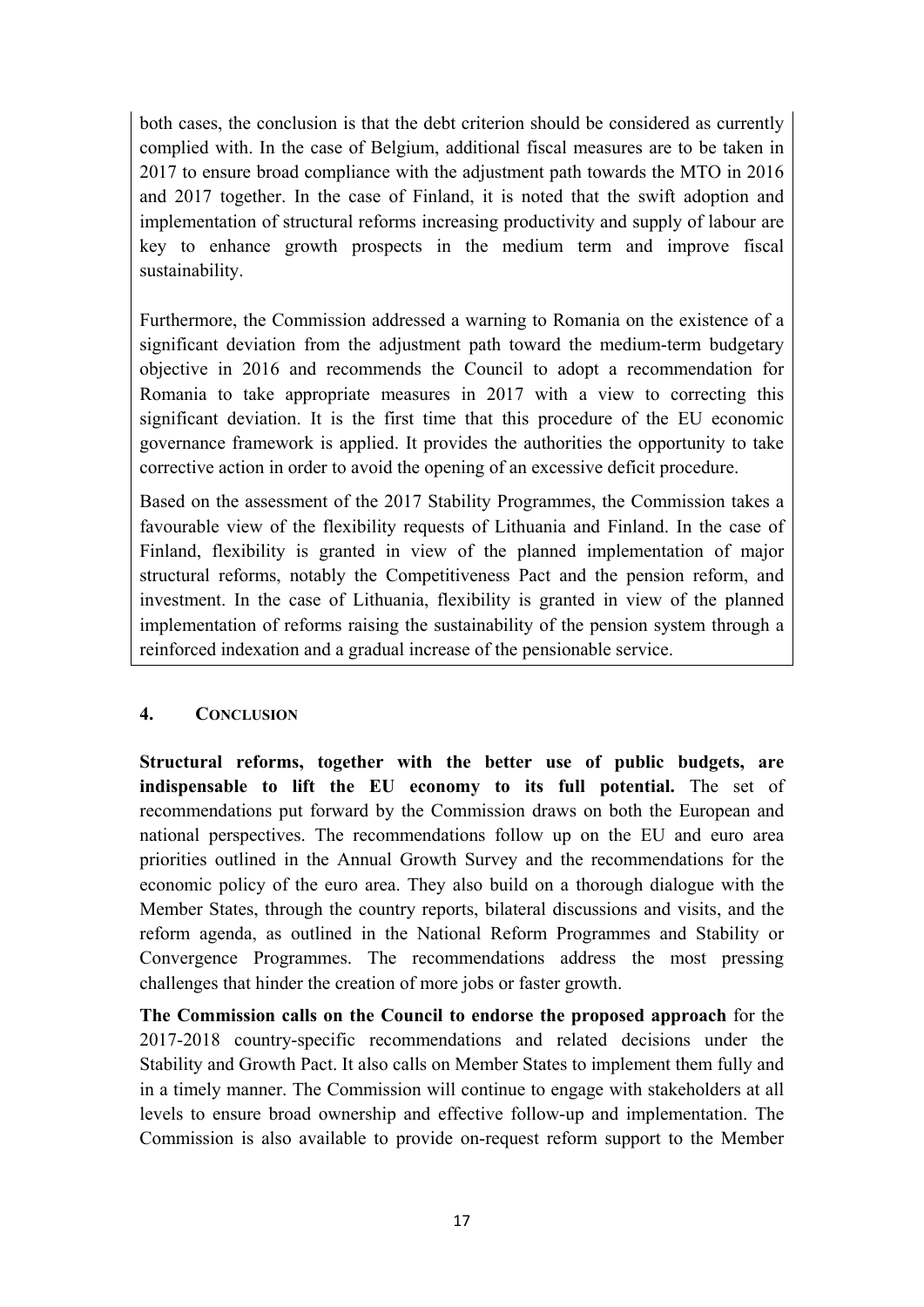both cases, the conclusion is that the debt criterion should be considered as currently complied with. In the case of Belgium, additional fiscal measures are to be taken in 2017 to ensure broad compliance with the adjustment path towards the MTO in 2016 and 2017 together. In the case of Finland, it is noted that the swift adoption and implementation of structural reforms increasing productivity and supply of labour are key to enhance growth prospects in the medium term and improve fiscal sustainability.

Furthermore, the Commission addressed a warning to Romania on the existence of a significant deviation from the adjustment path toward the medium-term budgetary objective in 2016 and recommends the Council to adopt a recommendation for Romania to take appropriate measures in 2017 with a view to correcting this significant deviation. It is the first time that this procedure of the EU economic governance framework is applied. It provides the authorities the opportunity to take corrective action in order to avoid the opening of an excessive deficit procedure.

Based on the assessment of the 2017 Stability Programmes, the Commission takes a favourable view of the flexibility requests of Lithuania and Finland. In the case of Finland, flexibility is granted in view of the planned implementation of major structural reforms, notably the Competitiveness Pact and the pension reform, and investment. In the case of Lithuania, flexibility is granted in view of the planned implementation of reforms raising the sustainability of the pension system through a reinforced indexation and a gradual increase of the pensionable service.

# **4. CONCLUSION**

**Structural reforms, together with the better use of public budgets, are indispensable to lift the EU economy to its full potential.** The set of recommendations put forward by the Commission draws on both the European and national perspectives. The recommendations follow up on the EU and euro area priorities outlined in the Annual Growth Survey and the recommendations for the economic policy of the euro area. They also build on a thorough dialogue with the Member States, through the country reports, bilateral discussions and visits, and the reform agenda, as outlined in the National Reform Programmes and Stability or Convergence Programmes. The recommendations address the most pressing challenges that hinder the creation of more jobs or faster growth.

**The Commission calls on the Council to endorse the proposed approach** for the 2017-2018 country-specific recommendations and related decisions under the Stability and Growth Pact. It also calls on Member States to implement them fully and in a timely manner. The Commission will continue to engage with stakeholders at all levels to ensure broad ownership and effective follow-up and implementation. The Commission is also available to provide on-request reform support to the Member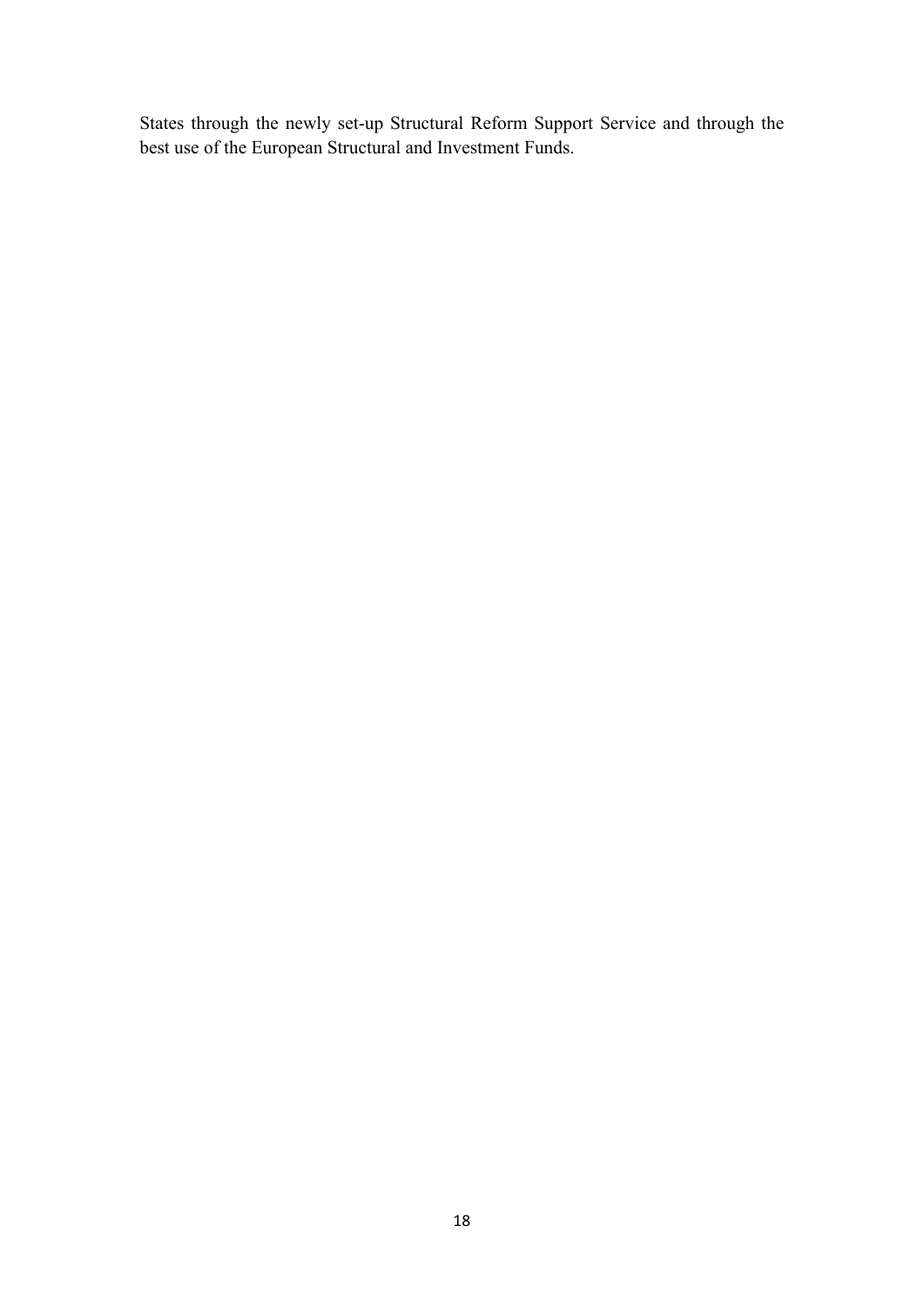States through the newly set-up Structural Reform Support Service and through the best use of the European Structural and Investment Funds.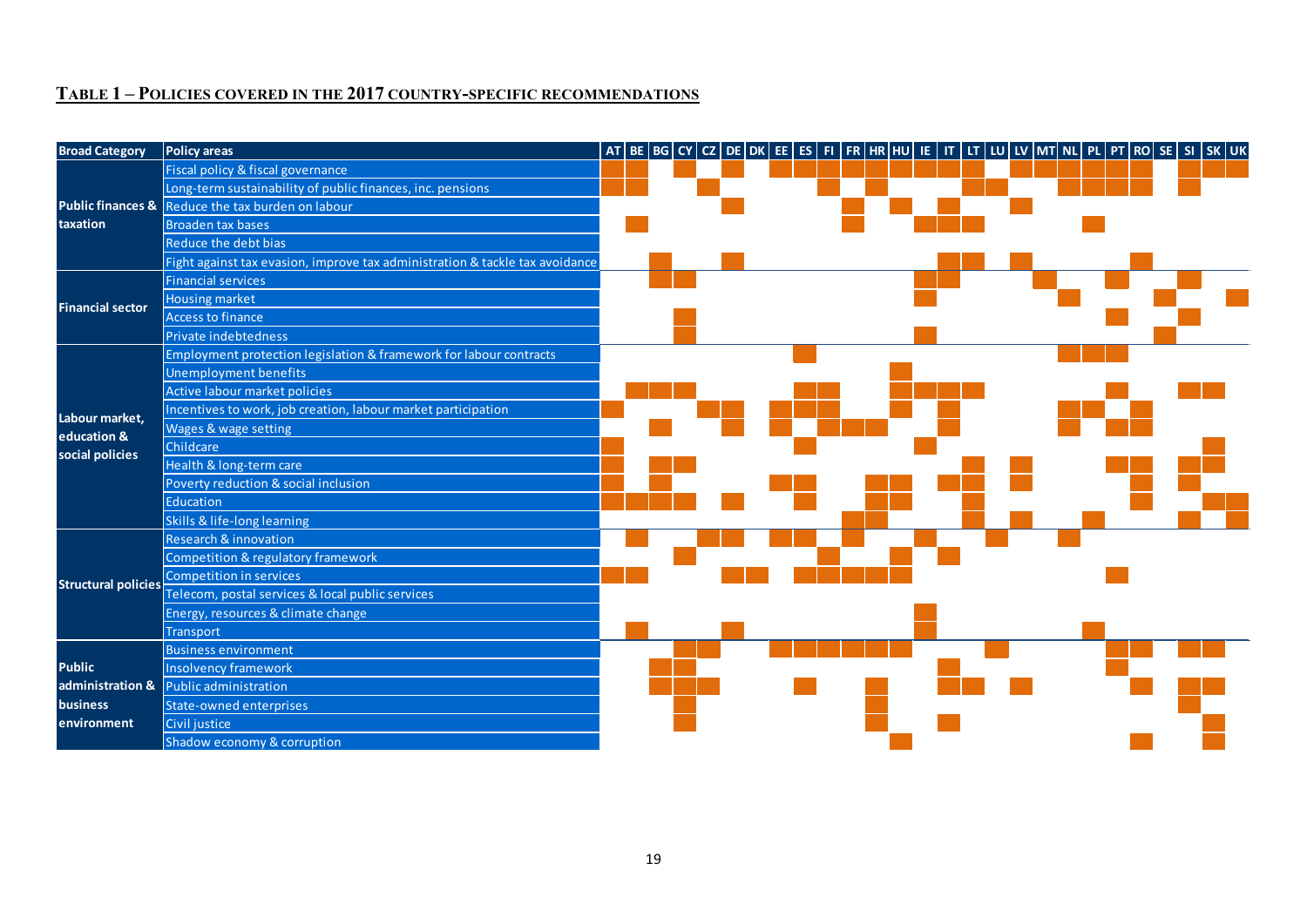# **TABLE 1 – POLICIES COVERED IN THE 2017 COUNTRY-SPECIFIC RECOMMENDATIONS**

| <b>Broad Category</b>                            | <b>Policy areas</b>                                                          |  |  |  | AT   BE   BG   CY   CZ   DE   DK   EE   ES   FI   FR   HR  HU   IE   IT   LT   LU   LV  ΜT  NL   PL   PT   RO   SE   SI   SK   UK |  |  |  |  |  |  |
|--------------------------------------------------|------------------------------------------------------------------------------|--|--|--|-----------------------------------------------------------------------------------------------------------------------------------|--|--|--|--|--|--|
| taxation                                         | Fiscal policy & fiscal governance                                            |  |  |  |                                                                                                                                   |  |  |  |  |  |  |
|                                                  | Long-term sustainability of public finances, inc. pensions                   |  |  |  |                                                                                                                                   |  |  |  |  |  |  |
|                                                  | Public finances & Reduce the tax burden on labour                            |  |  |  |                                                                                                                                   |  |  |  |  |  |  |
|                                                  | <b>Broaden tax bases</b>                                                     |  |  |  |                                                                                                                                   |  |  |  |  |  |  |
|                                                  | Reduce the debt bias                                                         |  |  |  |                                                                                                                                   |  |  |  |  |  |  |
|                                                  | Fight against tax evasion, improve tax administration & tackle tax avoidance |  |  |  |                                                                                                                                   |  |  |  |  |  |  |
| <b>Financial sector</b>                          | <b>Financial services</b>                                                    |  |  |  |                                                                                                                                   |  |  |  |  |  |  |
|                                                  | <b>Housing market</b>                                                        |  |  |  |                                                                                                                                   |  |  |  |  |  |  |
|                                                  | <b>Access to finance</b>                                                     |  |  |  |                                                                                                                                   |  |  |  |  |  |  |
|                                                  | Private indebtedness                                                         |  |  |  |                                                                                                                                   |  |  |  |  |  |  |
|                                                  | Employment protection legislation & framework for labour contracts           |  |  |  |                                                                                                                                   |  |  |  |  |  |  |
| Labour market,<br>education &<br>social policies | <b>Unemployment benefits</b>                                                 |  |  |  |                                                                                                                                   |  |  |  |  |  |  |
|                                                  | Active labour market policies                                                |  |  |  |                                                                                                                                   |  |  |  |  |  |  |
|                                                  | Incentives to work, job creation, labour market participation                |  |  |  |                                                                                                                                   |  |  |  |  |  |  |
|                                                  | Wages & wage setting                                                         |  |  |  |                                                                                                                                   |  |  |  |  |  |  |
|                                                  | Childcare                                                                    |  |  |  |                                                                                                                                   |  |  |  |  |  |  |
|                                                  | Health & long-term care                                                      |  |  |  |                                                                                                                                   |  |  |  |  |  |  |
|                                                  | Poverty reduction & social inclusion                                         |  |  |  |                                                                                                                                   |  |  |  |  |  |  |
|                                                  | <b>Education</b>                                                             |  |  |  |                                                                                                                                   |  |  |  |  |  |  |
|                                                  | Skills & life-long learning                                                  |  |  |  |                                                                                                                                   |  |  |  |  |  |  |
| <b>Structural policies</b>                       | Research & innovation                                                        |  |  |  |                                                                                                                                   |  |  |  |  |  |  |
|                                                  | Competition & regulatory framework                                           |  |  |  |                                                                                                                                   |  |  |  |  |  |  |
|                                                  | Competition in services                                                      |  |  |  |                                                                                                                                   |  |  |  |  |  |  |
|                                                  | Telecom, postal services & local public services                             |  |  |  |                                                                                                                                   |  |  |  |  |  |  |
|                                                  | Energy, resources & climate change                                           |  |  |  |                                                                                                                                   |  |  |  |  |  |  |
|                                                  | <b>Transport</b>                                                             |  |  |  |                                                                                                                                   |  |  |  |  |  |  |
|                                                  | <b>Business environment</b>                                                  |  |  |  |                                                                                                                                   |  |  |  |  |  |  |
| <b>Public</b>                                    | <b>Insolvency framework</b>                                                  |  |  |  |                                                                                                                                   |  |  |  |  |  |  |
| administration &                                 | Public administration                                                        |  |  |  |                                                                                                                                   |  |  |  |  |  |  |
| <b>business</b>                                  | <b>State-owned enterprises</b>                                               |  |  |  |                                                                                                                                   |  |  |  |  |  |  |
| environment                                      | Civil justice                                                                |  |  |  |                                                                                                                                   |  |  |  |  |  |  |
|                                                  | Shadow economy & corruption                                                  |  |  |  |                                                                                                                                   |  |  |  |  |  |  |